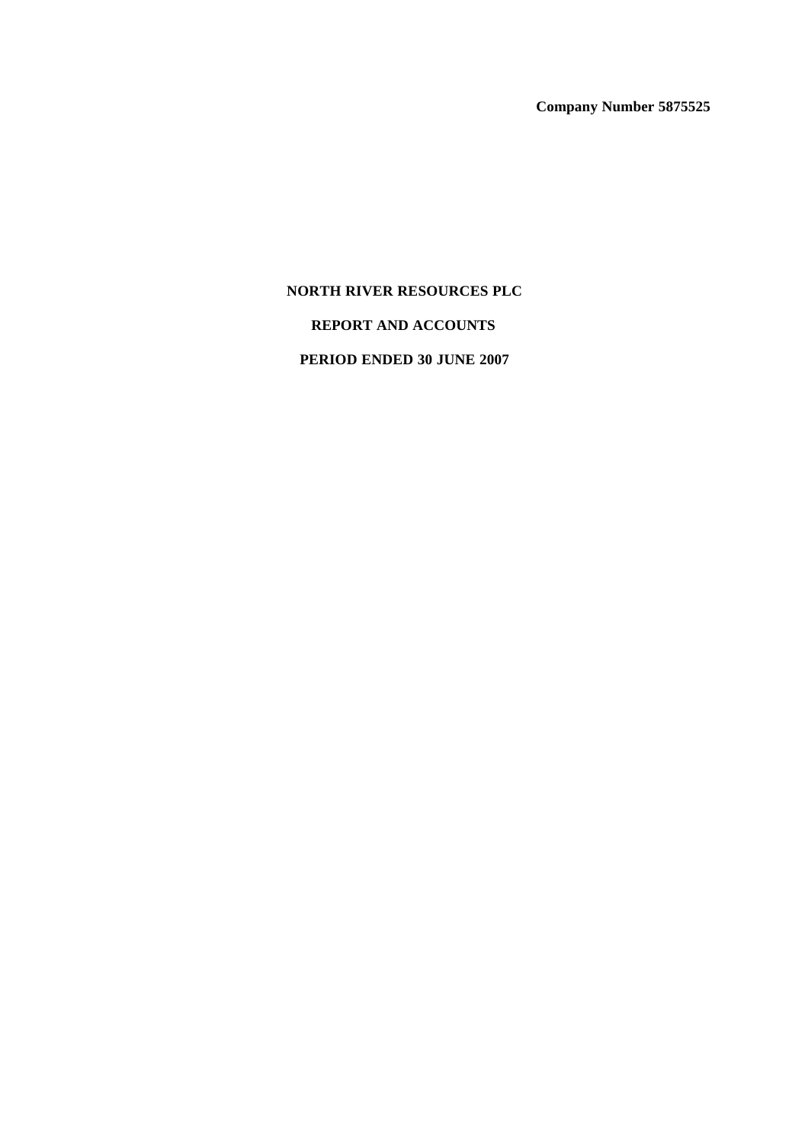**Company Number 5875525**

# **NORTH RIVER RESOURCES PLC**

# **REPORT AND ACCOUNTS**

# **PERIOD ENDED 30 JUNE 2007**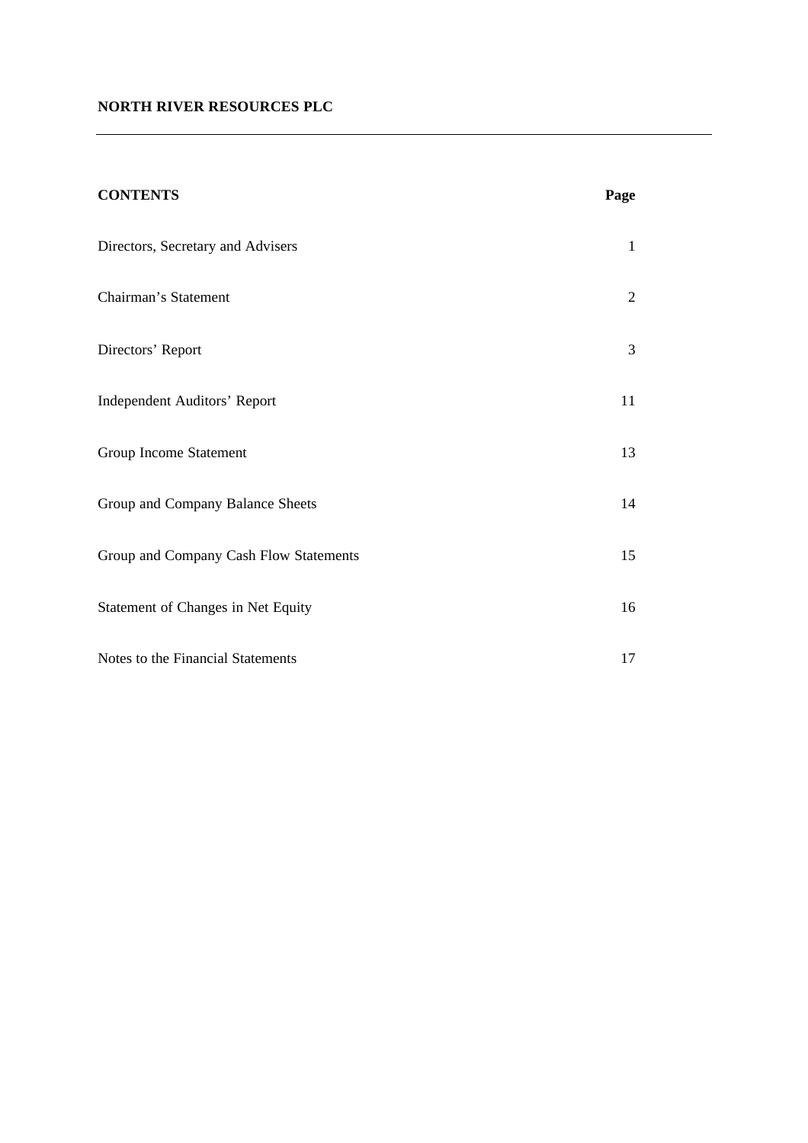| <b>CONTENTS</b>                        | Page           |
|----------------------------------------|----------------|
| Directors, Secretary and Advisers      | $\mathbf{1}$   |
| Chairman's Statement                   | $\overline{2}$ |
| Directors' Report                      | 3              |
| <b>Independent Auditors' Report</b>    | 11             |
| Group Income Statement                 | 13             |
| Group and Company Balance Sheets       | 14             |
| Group and Company Cash Flow Statements | 15             |
| Statement of Changes in Net Equity     | 16             |
| Notes to the Financial Statements      | 17             |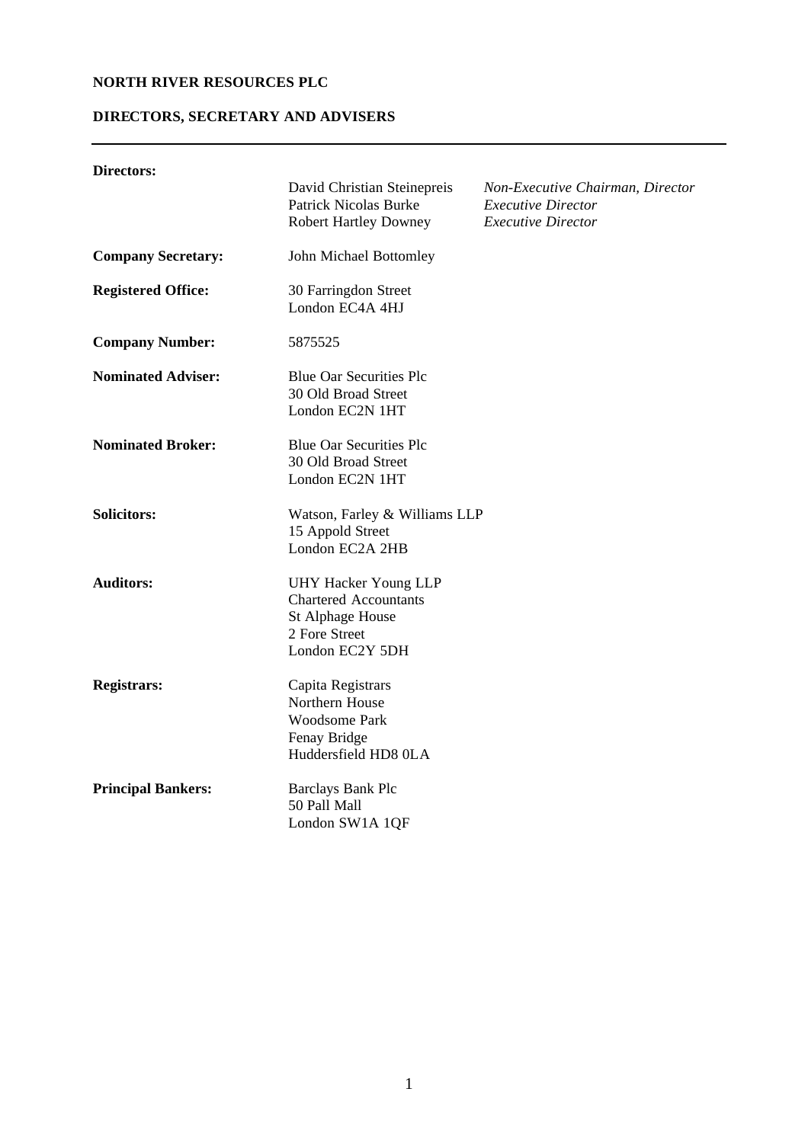# **DIRECTORS, SECRETARY AND ADVISERS**

# **Directors:**

|                           | David Christian Steinepreis<br>Patrick Nicolas Burke<br><b>Robert Hartley Downey</b>                                | Non-Executive Chairman, Director<br><b>Executive Director</b><br><b>Executive Director</b> |
|---------------------------|---------------------------------------------------------------------------------------------------------------------|--------------------------------------------------------------------------------------------|
| <b>Company Secretary:</b> | John Michael Bottomley                                                                                              |                                                                                            |
| <b>Registered Office:</b> | 30 Farringdon Street<br>London EC4A 4HJ                                                                             |                                                                                            |
| <b>Company Number:</b>    | 5875525                                                                                                             |                                                                                            |
| <b>Nominated Adviser:</b> | <b>Blue Oar Securities Plc</b><br>30 Old Broad Street<br>London EC2N 1HT                                            |                                                                                            |
| <b>Nominated Broker:</b>  | <b>Blue Oar Securities Plc</b><br>30 Old Broad Street<br>London EC2N 1HT                                            |                                                                                            |
| <b>Solicitors:</b>        | Watson, Farley & Williams LLP<br>15 Appold Street<br>London EC2A 2HB                                                |                                                                                            |
| <b>Auditors:</b>          | <b>UHY Hacker Young LLP</b><br><b>Chartered Accountants</b><br>St Alphage House<br>2 Fore Street<br>London EC2Y 5DH |                                                                                            |
| <b>Registrars:</b>        | Capita Registrars<br>Northern House<br>Woodsome Park<br>Fenay Bridge<br>Huddersfield HD8 0LA                        |                                                                                            |
| <b>Principal Bankers:</b> | Barclays Bank Plc<br>50 Pall Mall<br>London SW1A 1QF                                                                |                                                                                            |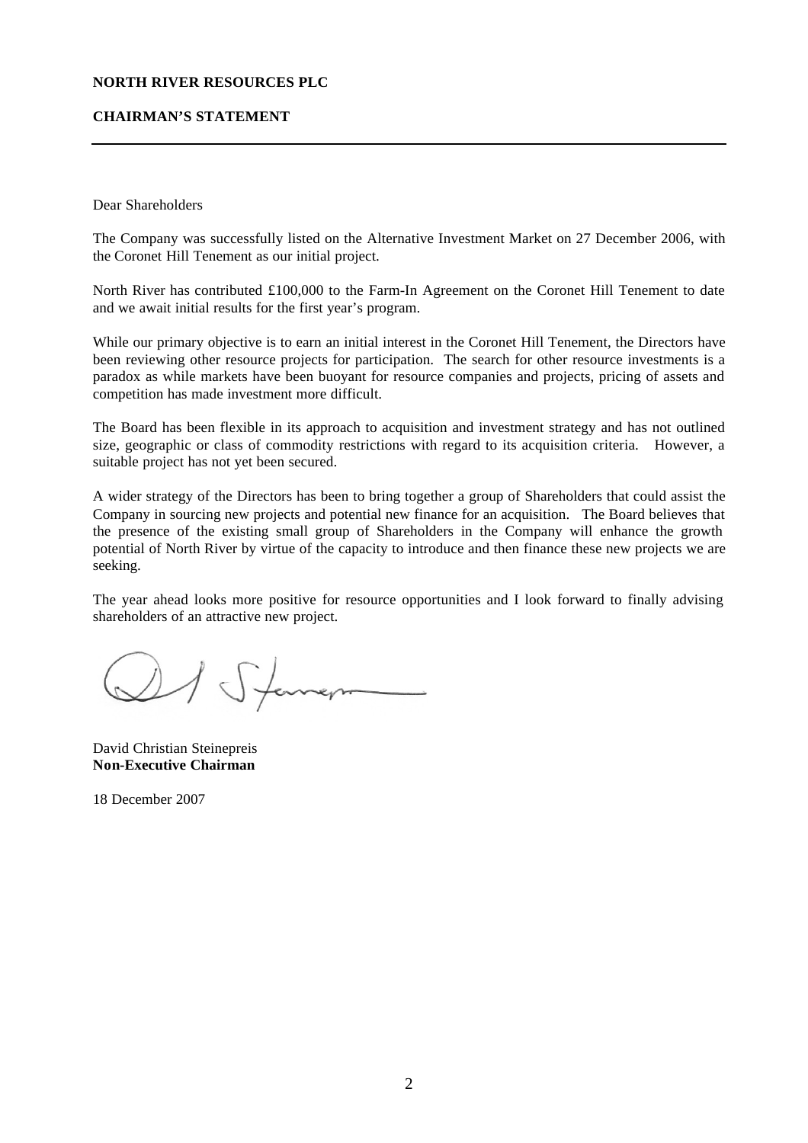#### **CHAIRMAN'S STATEMENT**

#### Dear Shareholders

The Company was successfully listed on the Alternative Investment Market on 27 December 2006, with the Coronet Hill Tenement as our initial project.

North River has contributed £100,000 to the Farm-In Agreement on the Coronet Hill Tenement to date and we await initial results for the first year's program.

While our primary objective is to earn an initial interest in the Coronet Hill Tenement, the Directors have been reviewing other resource projects for participation. The search for other resource investments is a paradox as while markets have been buoyant for resource companies and projects, pricing of assets and competition has made investment more difficult.

The Board has been flexible in its approach to acquisition and investment strategy and has not outlined size, geographic or class of commodity restrictions with regard to its acquisition criteria. However, a suitable project has not yet been secured.

A wider strategy of the Directors has been to bring together a group of Shareholders that could assist the Company in sourcing new projects and potential new finance for an acquisition. The Board believes that the presence of the existing small group of Shareholders in the Company will enhance the growth potential of North River by virtue of the capacity to introduce and then finance these new projects we are seeking.

The year ahead looks more positive for resource opportunities and I look forward to finally advising shareholders of an attractive new project.

1 Stemmer

David Christian Steinepreis **Non-Executive Chairman**

18 December 2007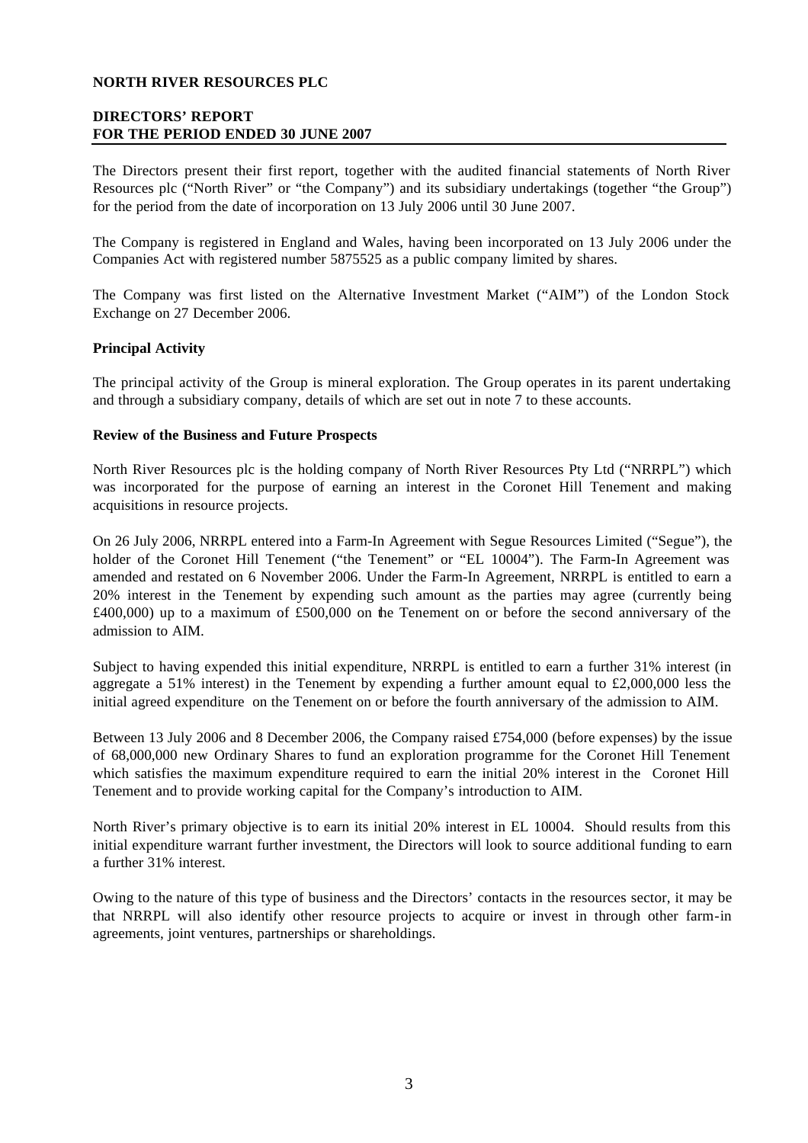## **DIRECTORS' REPORT FOR THE PERIOD ENDED 30 JUNE 2007**

The Directors present their first report, together with the audited financial statements of North River Resources plc ("North River" or "the Company") and its subsidiary undertakings (together "the Group") for the period from the date of incorporation on 13 July 2006 until 30 June 2007.

The Company is registered in England and Wales, having been incorporated on 13 July 2006 under the Companies Act with registered number 5875525 as a public company limited by shares.

The Company was first listed on the Alternative Investment Market ("AIM") of the London Stock Exchange on 27 December 2006.

#### **Principal Activity**

The principal activity of the Group is mineral exploration. The Group operates in its parent undertaking and through a subsidiary company, details of which are set out in note 7 to these accounts.

#### **Review of the Business and Future Prospects**

North River Resources plc is the holding company of North River Resources Pty Ltd ("NRRPL") which was incorporated for the purpose of earning an interest in the Coronet Hill Tenement and making acquisitions in resource projects.

On 26 July 2006, NRRPL entered into a Farm-In Agreement with Segue Resources Limited ("Segue"), the holder of the Coronet Hill Tenement ("the Tenement" or "EL 10004"). The Farm-In Agreement was amended and restated on 6 November 2006. Under the Farm-In Agreement, NRRPL is entitled to earn a 20% interest in the Tenement by expending such amount as the parties may agree (currently being £400,000) up to a maximum of £500,000 on the Tenement on or before the second anniversary of the admission to AIM.

Subject to having expended this initial expenditure, NRRPL is entitled to earn a further 31% interest (in aggregate a 51% interest) in the Tenement by expending a further amount equal to  $\text{\pounds}2,000,000$  less the initial agreed expenditure on the Tenement on or before the fourth anniversary of the admission to AIM.

Between 13 July 2006 and 8 December 2006, the Company raised £754,000 (before expenses) by the issue of 68,000,000 new Ordinary Shares to fund an exploration programme for the Coronet Hill Tenement which satisfies the maximum expenditure required to earn the initial 20% interest in the Coronet Hill Tenement and to provide working capital for the Company's introduction to AIM.

North River's primary objective is to earn its initial 20% interest in EL 10004. Should results from this initial expenditure warrant further investment, the Directors will look to source additional funding to earn a further 31% interest.

Owing to the nature of this type of business and the Directors' contacts in the resources sector, it may be that NRRPL will also identify other resource projects to acquire or invest in through other farm-in agreements, joint ventures, partnerships or shareholdings.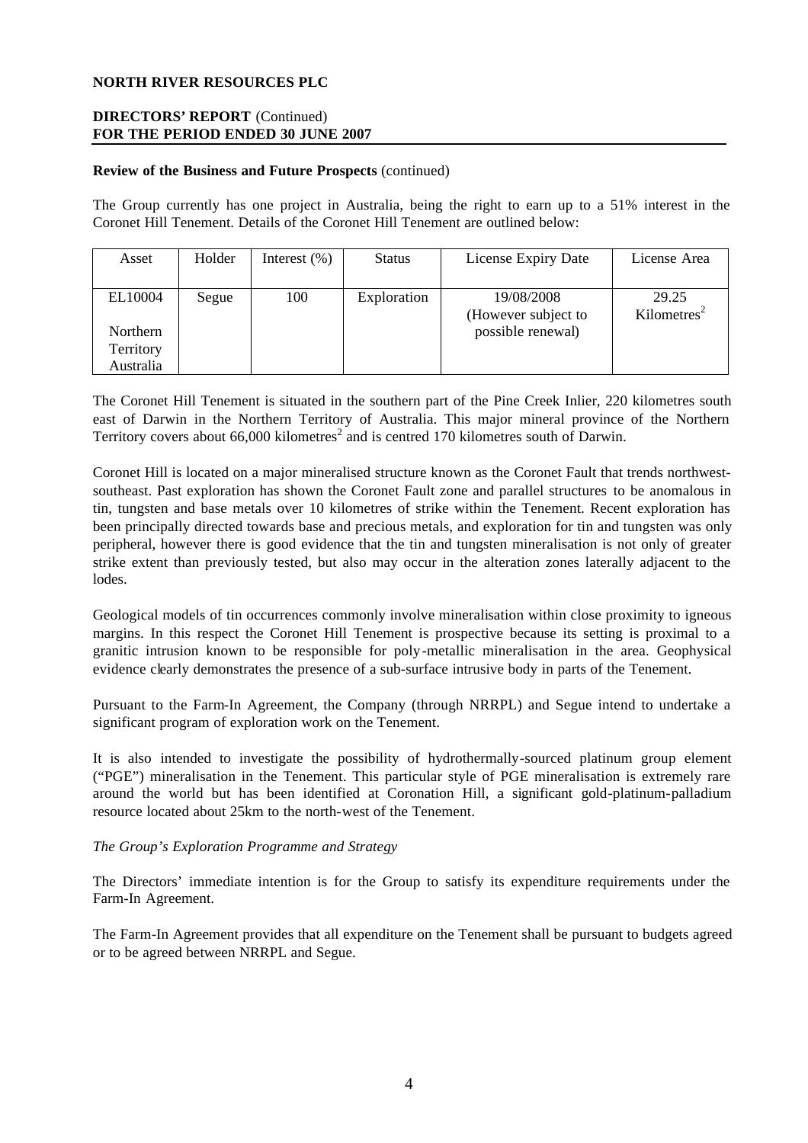## **DIRECTORS' REPORT** (Continued) **FOR THE PERIOD ENDED 30 JUNE 2007**

#### **Review of the Business and Future Prospects** (continued)

The Group currently has one project in Australia, being the right to earn up to a 51% interest in the Coronet Hill Tenement. Details of the Coronet Hill Tenement are outlined below:

| Asset     | Holder | Interest $(\% )$ | <b>Status</b> | License Expiry Date | License Area            |
|-----------|--------|------------------|---------------|---------------------|-------------------------|
|           |        |                  |               |                     |                         |
| EL10004   | Segue  | 100              | Exploration   | 19/08/2008          | 29.25                   |
|           |        |                  |               | (However subject to | Kilometres <sup>2</sup> |
| Northern  |        |                  |               | possible renewal)   |                         |
| Territory |        |                  |               |                     |                         |
| Australia |        |                  |               |                     |                         |

The Coronet Hill Tenement is situated in the southern part of the Pine Creek Inlier, 220 kilometres south east of Darwin in the Northern Territory of Australia. This major mineral province of the Northern Territory covers about 66,000 kilometres<sup>2</sup> and is centred 170 kilometres south of Darwin.

Coronet Hill is located on a major mineralised structure known as the Coronet Fault that trends northwestsoutheast. Past exploration has shown the Coronet Fault zone and parallel structures to be anomalous in tin, tungsten and base metals over 10 kilometres of strike within the Tenement. Recent exploration has been principally directed towards base and precious metals, and exploration for tin and tungsten was only peripheral, however there is good evidence that the tin and tungsten mineralisation is not only of greater strike extent than previously tested, but also may occur in the alteration zones laterally adjacent to the lodes.

Geological models of tin occurrences commonly involve mineralisation within close proximity to igneous margins. In this respect the Coronet Hill Tenement is prospective because its setting is proximal to a granitic intrusion known to be responsible for poly-metallic mineralisation in the area. Geophysical evidence clearly demonstrates the presence of a sub-surface intrusive body in parts of the Tenement.

Pursuant to the Farm-In Agreement, the Company (through NRRPL) and Segue intend to undertake a significant program of exploration work on the Tenement.

It is also intended to investigate the possibility of hydrothermally-sourced platinum group element ("PGE") mineralisation in the Tenement. This particular style of PGE mineralisation is extremely rare around the world but has been identified at Coronation Hill, a significant gold-platinum-palladium resource located about 25km to the north-west of the Tenement.

## *The Group's Exploration Programme and Strategy*

The Directors' immediate intention is for the Group to satisfy its expenditure requirements under the Farm-In Agreement.

The Farm-In Agreement provides that all expenditure on the Tenement shall be pursuant to budgets agreed or to be agreed between NRRPL and Segue.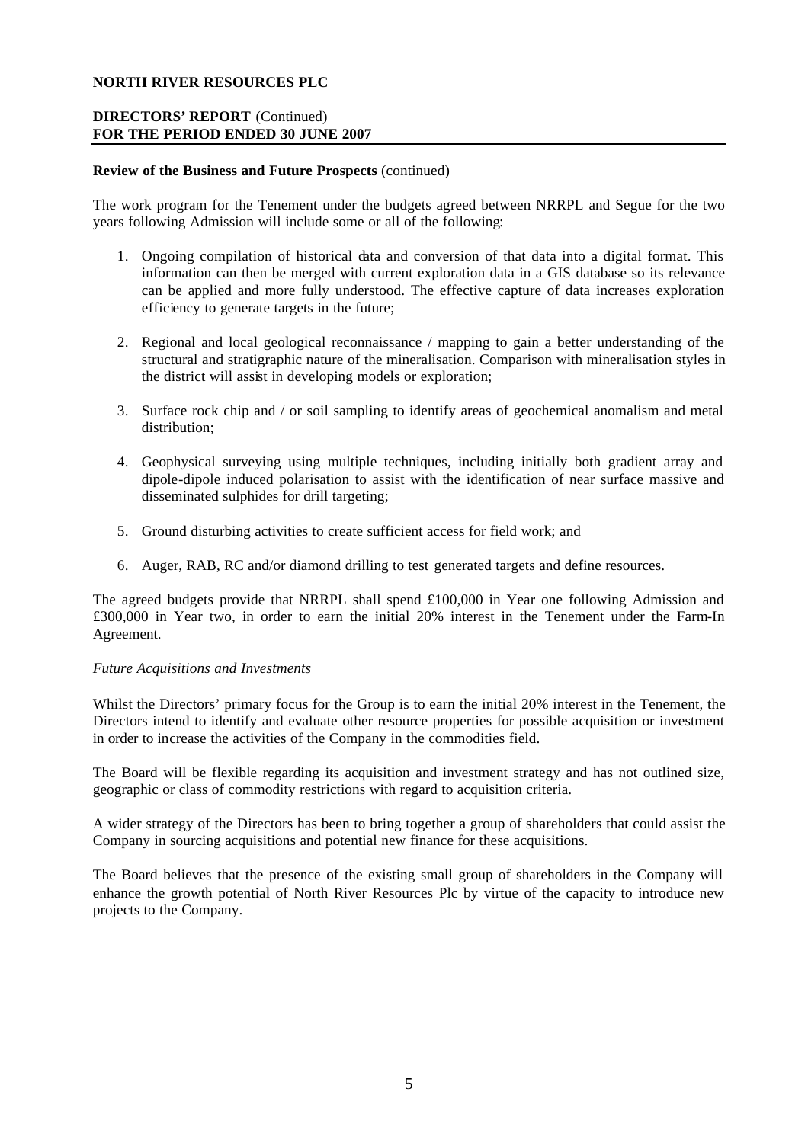#### **DIRECTORS' REPORT** (Continued) **FOR THE PERIOD ENDED 30 JUNE 2007**

#### **Review of the Business and Future Prospects** (continued)

The work program for the Tenement under the budgets agreed between NRRPL and Segue for the two years following Admission will include some or all of the following:

- 1. Ongoing compilation of historical data and conversion of that data into a digital format. This information can then be merged with current exploration data in a GIS database so its relevance can be applied and more fully understood. The effective capture of data increases exploration efficiency to generate targets in the future;
- 2. Regional and local geological reconnaissance / mapping to gain a better understanding of the structural and stratigraphic nature of the mineralisation. Comparison with mineralisation styles in the district will assist in developing models or exploration;
- 3. Surface rock chip and / or soil sampling to identify areas of geochemical anomalism and metal distribution<sup>.</sup>
- 4. Geophysical surveying using multiple techniques, including initially both gradient array and dipole-dipole induced polarisation to assist with the identification of near surface massive and disseminated sulphides for drill targeting;
- 5. Ground disturbing activities to create sufficient access for field work; and
- 6. Auger, RAB, RC and/or diamond drilling to test generated targets and define resources.

The agreed budgets provide that NRRPL shall spend £100,000 in Year one following Admission and £300,000 in Year two, in order to earn the initial 20% interest in the Tenement under the Farm-In Agreement.

#### *Future Acquisitions and Investments*

Whilst the Directors' primary focus for the Group is to earn the initial 20% interest in the Tenement, the Directors intend to identify and evaluate other resource properties for possible acquisition or investment in order to increase the activities of the Company in the commodities field.

The Board will be flexible regarding its acquisition and investment strategy and has not outlined size, geographic or class of commodity restrictions with regard to acquisition criteria.

A wider strategy of the Directors has been to bring together a group of shareholders that could assist the Company in sourcing acquisitions and potential new finance for these acquisitions.

The Board believes that the presence of the existing small group of shareholders in the Company will enhance the growth potential of North River Resources Plc by virtue of the capacity to introduce new projects to the Company.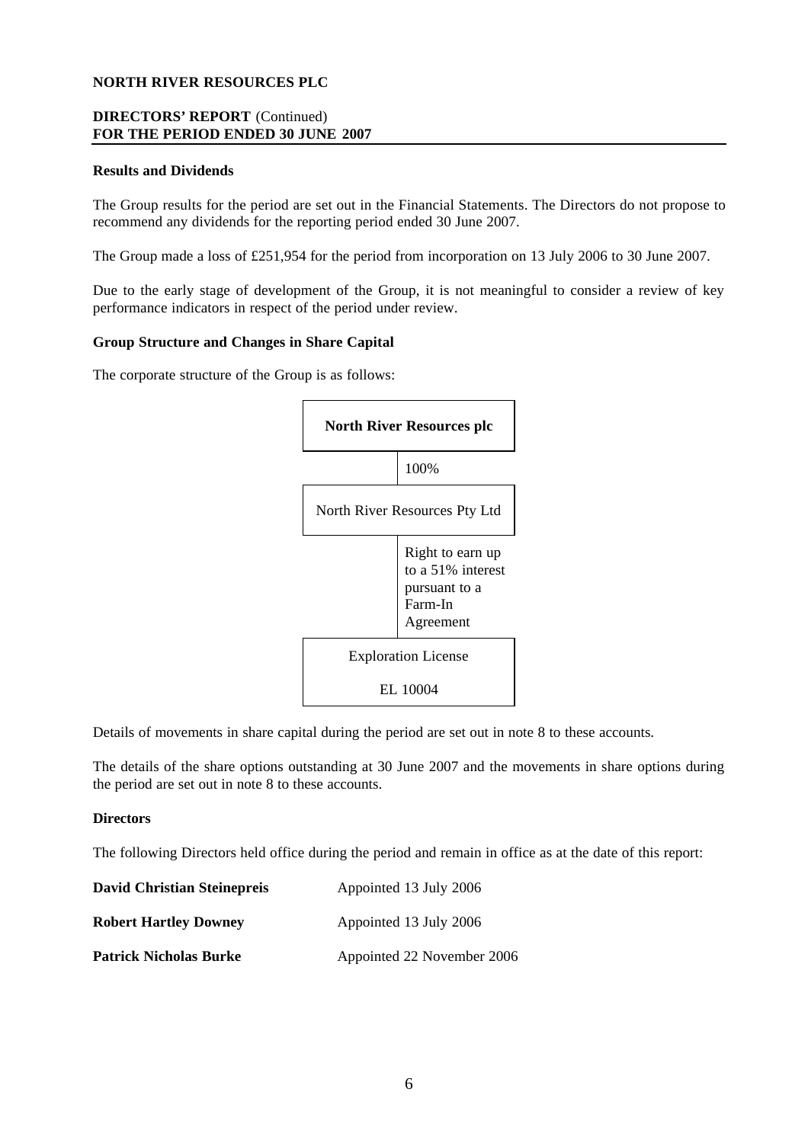## **DIRECTORS' REPORT** (Continued) **FOR THE PERIOD ENDED 30 JUNE 2007**

#### **Results and Dividends**

The Group results for the period are set out in the Financial Statements. The Directors do not propose to recommend any dividends for the reporting period ended 30 June 2007.

The Group made a loss of £251,954 for the period from incorporation on 13 July 2006 to 30 June 2007.

Due to the early stage of development of the Group, it is not meaningful to consider a review of key performance indicators in respect of the period under review.

#### **Group Structure and Changes in Share Capital**

The corporate structure of the Group is as follows:



Details of movements in share capital during the period are set out in note 8 to these accounts.

The details of the share options outstanding at 30 June 2007 and the movements in share options during the period are set out in note 8 to these accounts.

#### **Directors**

The following Directors held office during the period and remain in office as at the date of this report:

| <b>David Christian Steinepreis</b> | Appointed 13 July 2006     |
|------------------------------------|----------------------------|
| <b>Robert Hartley Downey</b>       | Appointed 13 July 2006     |
| <b>Patrick Nicholas Burke</b>      | Appointed 22 November 2006 |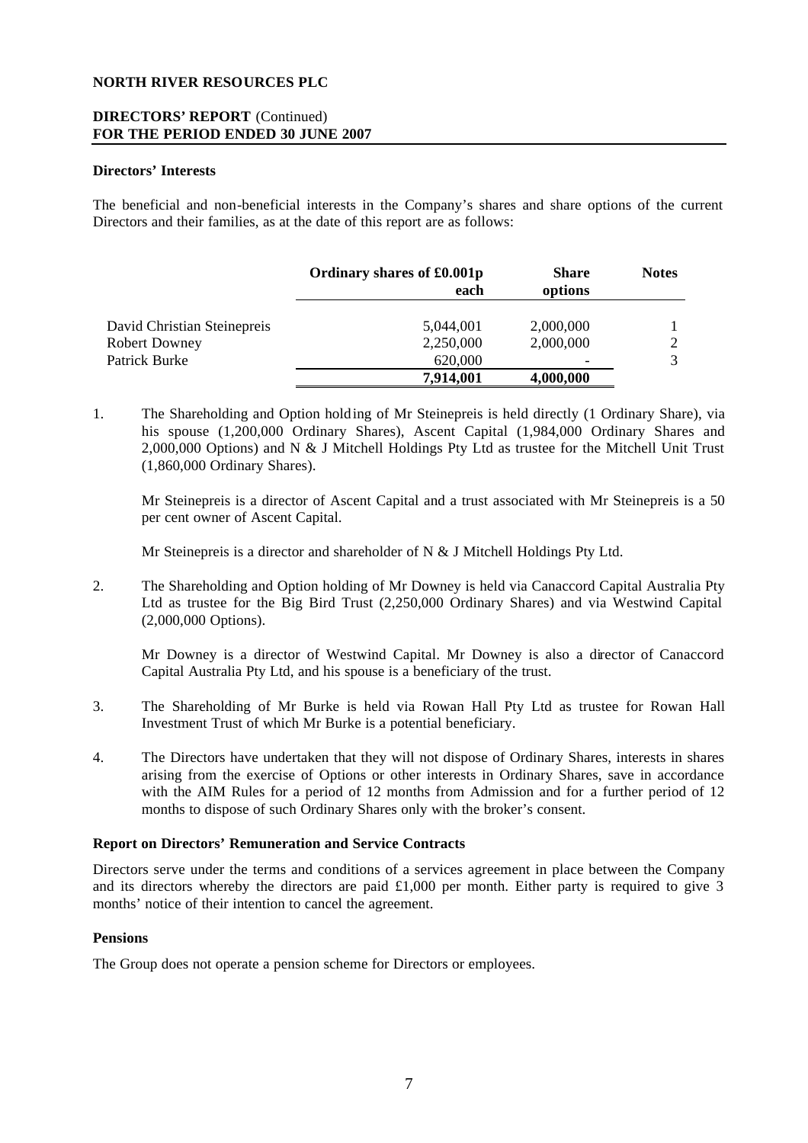#### **DIRECTORS' REPORT** (Continued) **FOR THE PERIOD ENDED 30 JUNE 2007**

#### **Directors' Interests**

The beneficial and non-beneficial interests in the Company's shares and share options of the current Directors and their families, as at the date of this report are as follows:

|                             | Ordinary shares of £0.001p<br>each | <b>Share</b><br>options | <b>Notes</b> |
|-----------------------------|------------------------------------|-------------------------|--------------|
| David Christian Steinepreis | 5,044,001                          | 2,000,000               |              |
| <b>Robert Downey</b>        | 2,250,000                          | 2,000,000               |              |
| Patrick Burke               | 620,000                            |                         | 2            |
|                             | 7,914,001                          | 4,000,000               |              |

1. The Shareholding and Option holding of Mr Steinepreis is held directly (1 Ordinary Share), via his spouse (1,200,000 Ordinary Shares), Ascent Capital (1,984,000 Ordinary Shares and 2,000,000 Options) and N & J Mitchell Holdings Pty Ltd as trustee for the Mitchell Unit Trust (1,860,000 Ordinary Shares).

Mr Steinepreis is a director of Ascent Capital and a trust associated with Mr Steinepreis is a 50 per cent owner of Ascent Capital.

Mr Steinepreis is a director and shareholder of N & J Mitchell Holdings Pty Ltd.

2. The Shareholding and Option holding of Mr Downey is held via Canaccord Capital Australia Pty Ltd as trustee for the Big Bird Trust (2,250,000 Ordinary Shares) and via Westwind Capital (2,000,000 Options).

Mr Downey is a director of Westwind Capital. Mr Downey is also a director of Canaccord Capital Australia Pty Ltd, and his spouse is a beneficiary of the trust.

- 3. The Shareholding of Mr Burke is held via Rowan Hall Pty Ltd as trustee for Rowan Hall Investment Trust of which Mr Burke is a potential beneficiary.
- 4. The Directors have undertaken that they will not dispose of Ordinary Shares, interests in shares arising from the exercise of Options or other interests in Ordinary Shares, save in accordance with the AIM Rules for a period of 12 months from Admission and for a further period of 12 months to dispose of such Ordinary Shares only with the broker's consent.

### **Report on Directors' Remuneration and Service Contracts**

Directors serve under the terms and conditions of a services agreement in place between the Company and its directors whereby the directors are paid £1,000 per month. Either party is required to give 3 months' notice of their intention to cancel the agreement.

#### **Pensions**

The Group does not operate a pension scheme for Directors or employees.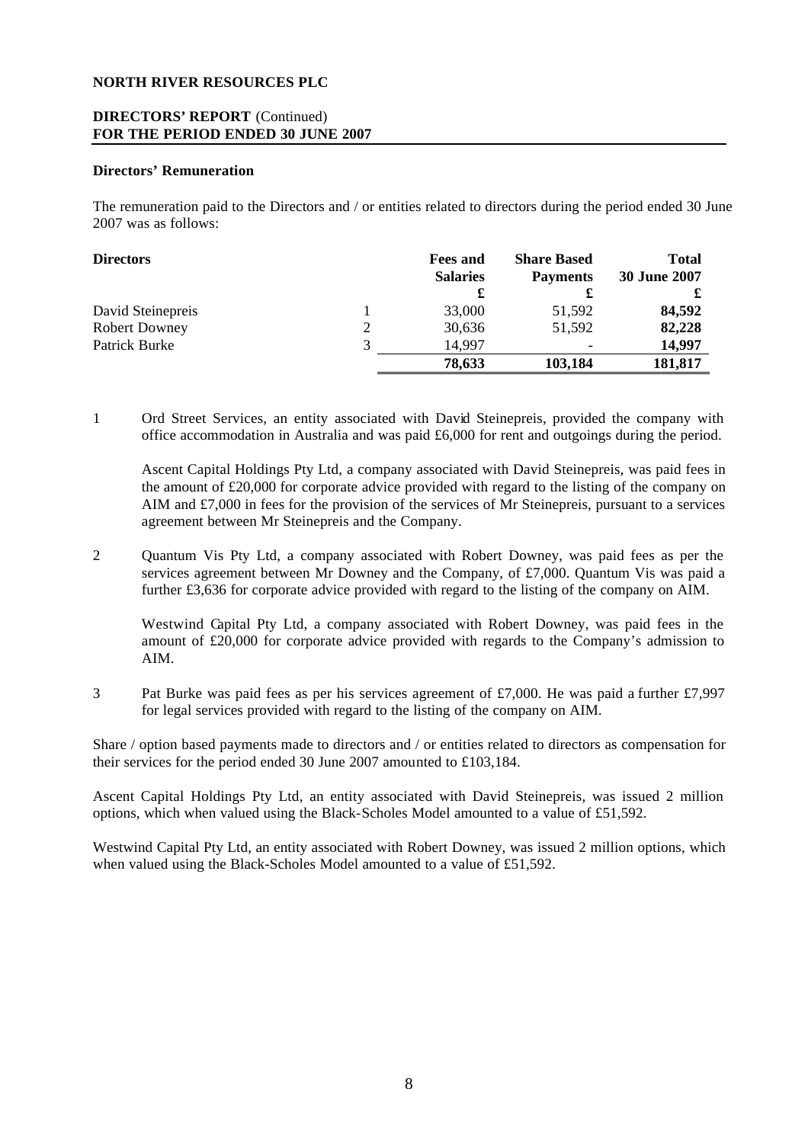#### **DIRECTORS' REPORT** (Continued) **FOR THE PERIOD ENDED 30 JUNE 2007**

#### **Directors' Remuneration**

The remuneration paid to the Directors and / or entities related to directors during the period ended 30 June 2007 was as follows:

| <b>Directors</b>     |   | <b>Fees and</b> | <b>Share Based</b> | <b>Total</b>        |
|----------------------|---|-----------------|--------------------|---------------------|
|                      |   | <b>Salaries</b> | <b>Payments</b>    | <b>30 June 2007</b> |
|                      |   |                 |                    |                     |
| David Steinepreis    |   | 33,000          | 51,592             | 84,592              |
| <b>Robert Downey</b> | ∍ | 30,636          | 51,592             | 82,228              |
| Patrick Burke        |   | 14.997          |                    | 14,997              |
|                      |   | 78,633          | 103,184            | 181,817             |

1 Ord Street Services, an entity associated with David Steinepreis, provided the company with office accommodation in Australia and was paid £6,000 for rent and outgoings during the period.

Ascent Capital Holdings Pty Ltd, a company associated with David Steinepreis, was paid fees in the amount of £20,000 for corporate advice provided with regard to the listing of the company on AIM and £7,000 in fees for the provision of the services of Mr Steinepreis, pursuant to a services agreement between Mr Steinepreis and the Company.

2 Duantum Vis Pty Ltd, a company associated with Robert Downey, was paid fees as per the services agreement between Mr Downey and the Company, of £7,000. Quantum Vis was paid a further £3,636 for corporate advice provided with regard to the listing of the company on AIM.

Westwind Capital Pty Ltd, a company associated with Robert Downey, was paid fees in the amount of £20,000 for corporate advice provided with regards to the Company's admission to AIM.

3 Pat Burke was paid fees as per his services agreement of £7,000. He was paid a further £7,997 for legal services provided with regard to the listing of the company on AIM.

Share / option based payments made to directors and / or entities related to directors as compensation for their services for the period ended 30 June 2007 amounted to £103,184.

Ascent Capital Holdings Pty Ltd, an entity associated with David Steinepreis, was issued 2 million options, which when valued using the Black-Scholes Model amounted to a value of £51,592.

Westwind Capital Pty Ltd, an entity associated with Robert Downey, was issued 2 million options, which when valued using the Black-Scholes Model amounted to a value of £51,592.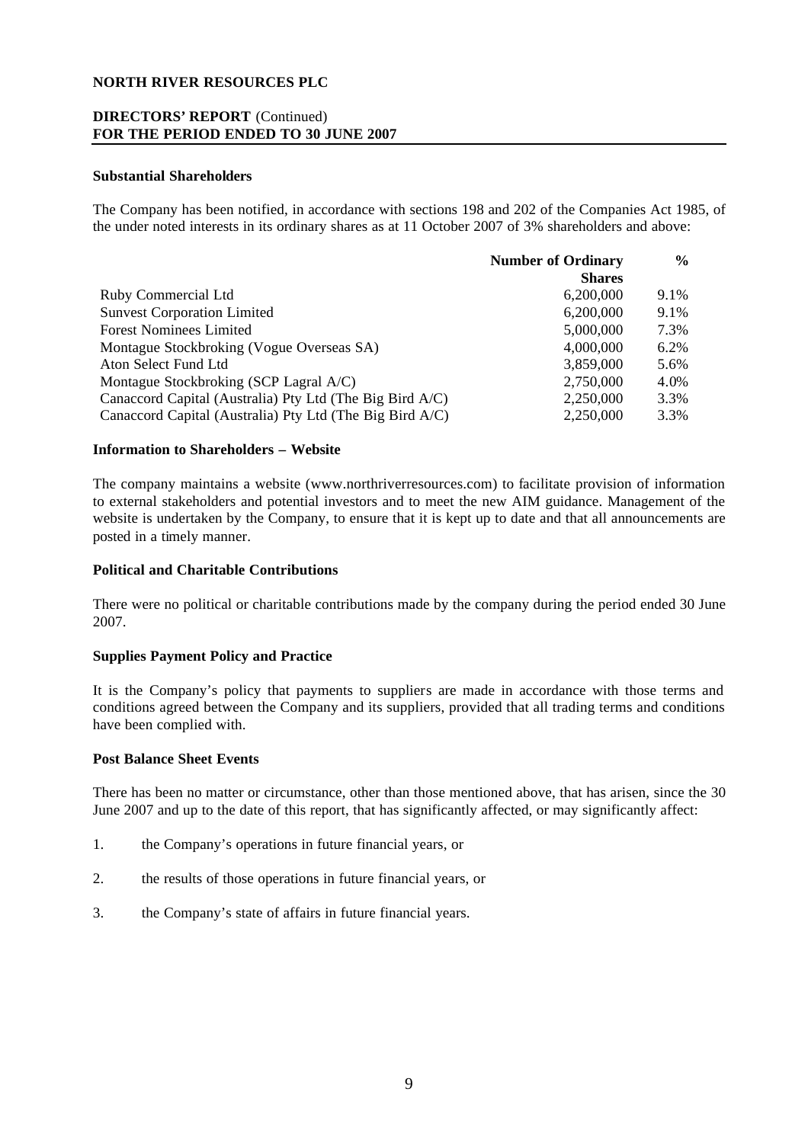#### **DIRECTORS' REPORT** (Continued) **FOR THE PERIOD ENDED TO 30 JUNE 2007**

#### **Substantial Shareholders**

The Company has been notified, in accordance with sections 198 and 202 of the Companies Act 1985, of the under noted interests in its ordinary shares as at 11 October 2007 of 3% shareholders and above:

|                                                          | <b>Number of Ordinary</b> | $\frac{0}{0}$ |
|----------------------------------------------------------|---------------------------|---------------|
|                                                          | <b>Shares</b>             |               |
| Ruby Commercial Ltd                                      | 6,200,000                 | 9.1%          |
| <b>Sunvest Corporation Limited</b>                       | 6,200,000                 | 9.1%          |
| <b>Forest Nominees Limited</b>                           | 5,000,000                 | 7.3%          |
| Montague Stockbroking (Vogue Overseas SA)                | 4,000,000                 | 6.2%          |
| Aton Select Fund Ltd                                     | 3,859,000                 | 5.6%          |
| Montague Stockbroking (SCP Lagral A/C)                   | 2,750,000                 | 4.0%          |
| Canaccord Capital (Australia) Pty Ltd (The Big Bird A/C) | 2,250,000                 | 3.3%          |
| Canaccord Capital (Australia) Pty Ltd (The Big Bird A/C) | 2,250,000                 | 3.3%          |

#### **Information to Shareholders – Website**

The company maintains a website (www.northriverresources.com) to facilitate provision of information to external stakeholders and potential investors and to meet the new AIM guidance. Management of the website is undertaken by the Company, to ensure that it is kept up to date and that all announcements are posted in a timely manner.

#### **Political and Charitable Contributions**

There were no political or charitable contributions made by the company during the period ended 30 June 2007.

#### **Supplies Payment Policy and Practice**

It is the Company's policy that payments to suppliers are made in accordance with those terms and conditions agreed between the Company and its suppliers, provided that all trading terms and conditions have been complied with.

#### **Post Balance Sheet Events**

There has been no matter or circumstance, other than those mentioned above, that has arisen, since the 30 June 2007 and up to the date of this report, that has significantly affected, or may significantly affect:

- 1. the Company's operations in future financial years, or
- 2. the results of those operations in future financial years, or
- 3. the Company's state of affairs in future financial years.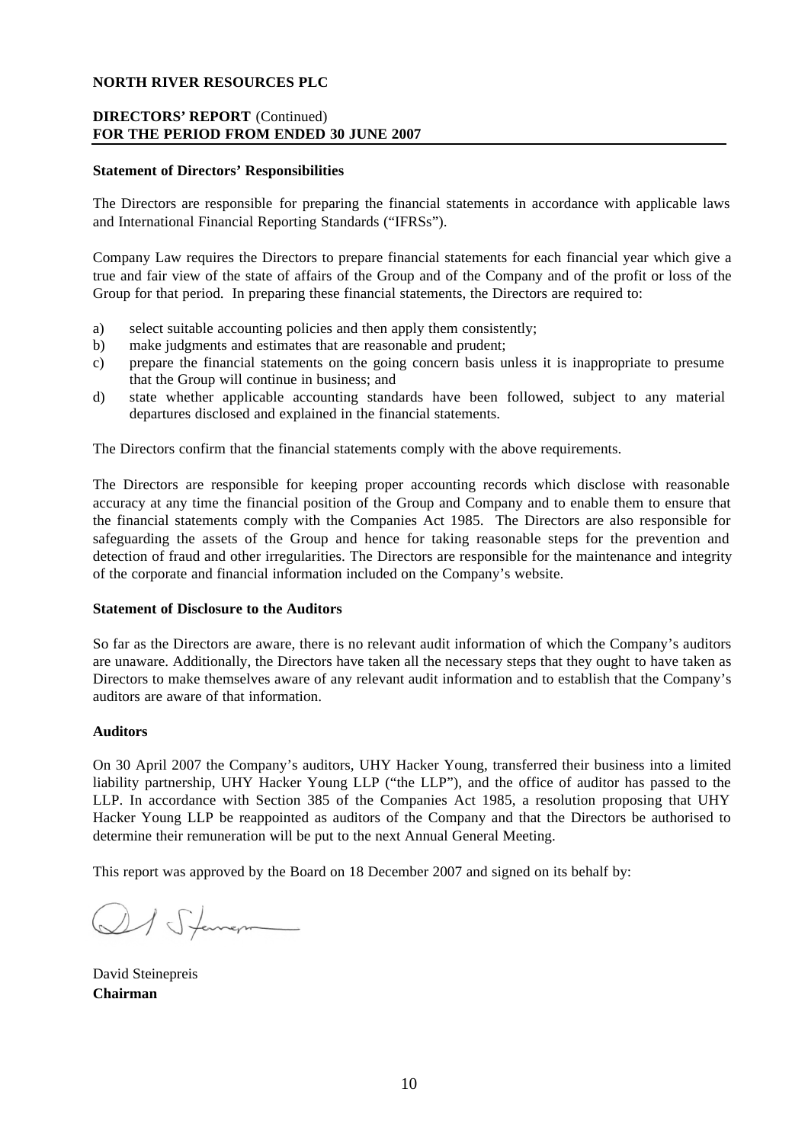#### **DIRECTORS' REPORT** (Continued) **FOR THE PERIOD FROM ENDED 30 JUNE 2007**

#### **Statement of Directors' Responsibilities**

The Directors are responsible for preparing the financial statements in accordance with applicable laws and International Financial Reporting Standards ("IFRSs").

Company Law requires the Directors to prepare financial statements for each financial year which give a true and fair view of the state of affairs of the Group and of the Company and of the profit or loss of the Group for that period. In preparing these financial statements, the Directors are required to:

- a) select suitable accounting policies and then apply them consistently;
- b) make judgments and estimates that are reasonable and prudent;
- c) prepare the financial statements on the going concern basis unless it is inappropriate to presume that the Group will continue in business; and
- d) state whether applicable accounting standards have been followed, subject to any material departures disclosed and explained in the financial statements.

The Directors confirm that the financial statements comply with the above requirements.

The Directors are responsible for keeping proper accounting records which disclose with reasonable accuracy at any time the financial position of the Group and Company and to enable them to ensure that the financial statements comply with the Companies Act 1985. The Directors are also responsible for safeguarding the assets of the Group and hence for taking reasonable steps for the prevention and detection of fraud and other irregularities. The Directors are responsible for the maintenance and integrity of the corporate and financial information included on the Company's website.

#### **Statement of Disclosure to the Auditors**

So far as the Directors are aware, there is no relevant audit information of which the Company's auditors are unaware. Additionally, the Directors have taken all the necessary steps that they ought to have taken as Directors to make themselves aware of any relevant audit information and to establish that the Company's auditors are aware of that information.

#### **Auditors**

On 30 April 2007 the Company's auditors, UHY Hacker Young, transferred their business into a limited liability partnership, UHY Hacker Young LLP ("the LLP"), and the office of auditor has passed to the LLP. In accordance with Section 385 of the Companies Act 1985, a resolution proposing that UHY Hacker Young LLP be reappointed as auditors of the Company and that the Directors be authorised to determine their remuneration will be put to the next Annual General Meeting.

This report was approved by the Board on 18 December 2007 and signed on its behalf by:

1 Stemen

David Steinepreis **Chairman**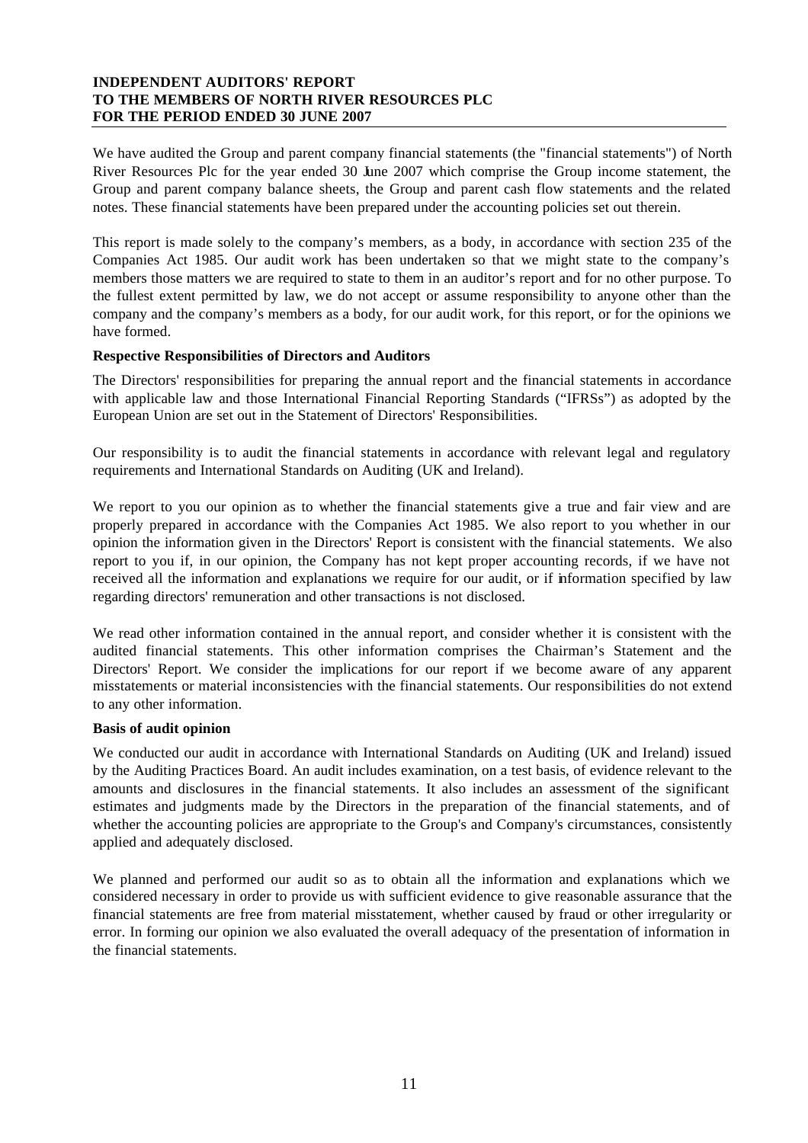# **INDEPENDENT AUDITORS' REPORT TO THE MEMBERS OF NORTH RIVER RESOURCES PLC FOR THE PERIOD ENDED 30 JUNE 2007**

We have audited the Group and parent company financial statements (the "financial statements") of North River Resources Plc for the year ended 30 June 2007 which comprise the Group income statement, the Group and parent company balance sheets, the Group and parent cash flow statements and the related notes. These financial statements have been prepared under the accounting policies set out therein.

This report is made solely to the company's members, as a body, in accordance with section 235 of the Companies Act 1985. Our audit work has been undertaken so that we might state to the company's members those matters we are required to state to them in an auditor's report and for no other purpose. To the fullest extent permitted by law, we do not accept or assume responsibility to anyone other than the company and the company's members as a body, for our audit work, for this report, or for the opinions we have formed.

## **Respective Responsibilities of Directors and Auditors**

The Directors' responsibilities for preparing the annual report and the financial statements in accordance with applicable law and those International Financial Reporting Standards ("IFRSs") as adopted by the European Union are set out in the Statement of Directors' Responsibilities.

Our responsibility is to audit the financial statements in accordance with relevant legal and regulatory requirements and International Standards on Auditing (UK and Ireland).

We report to you our opinion as to whether the financial statements give a true and fair view and are properly prepared in accordance with the Companies Act 1985. We also report to you whether in our opinion the information given in the Directors' Report is consistent with the financial statements. We also report to you if, in our opinion, the Company has not kept proper accounting records, if we have not received all the information and explanations we require for our audit, or if information specified by law regarding directors' remuneration and other transactions is not disclosed.

We read other information contained in the annual report, and consider whether it is consistent with the audited financial statements. This other information comprises the Chairman's Statement and the Directors' Report. We consider the implications for our report if we become aware of any apparent misstatements or material inconsistencies with the financial statements. Our responsibilities do not extend to any other information.

## **Basis of audit opinion**

We conducted our audit in accordance with International Standards on Auditing (UK and Ireland) issued by the Auditing Practices Board. An audit includes examination, on a test basis, of evidence relevant to the amounts and disclosures in the financial statements. It also includes an assessment of the significant estimates and judgments made by the Directors in the preparation of the financial statements, and of whether the accounting policies are appropriate to the Group's and Company's circumstances, consistently applied and adequately disclosed.

We planned and performed our audit so as to obtain all the information and explanations which we considered necessary in order to provide us with sufficient evidence to give reasonable assurance that the financial statements are free from material misstatement, whether caused by fraud or other irregularity or error. In forming our opinion we also evaluated the overall adequacy of the presentation of information in the financial statements.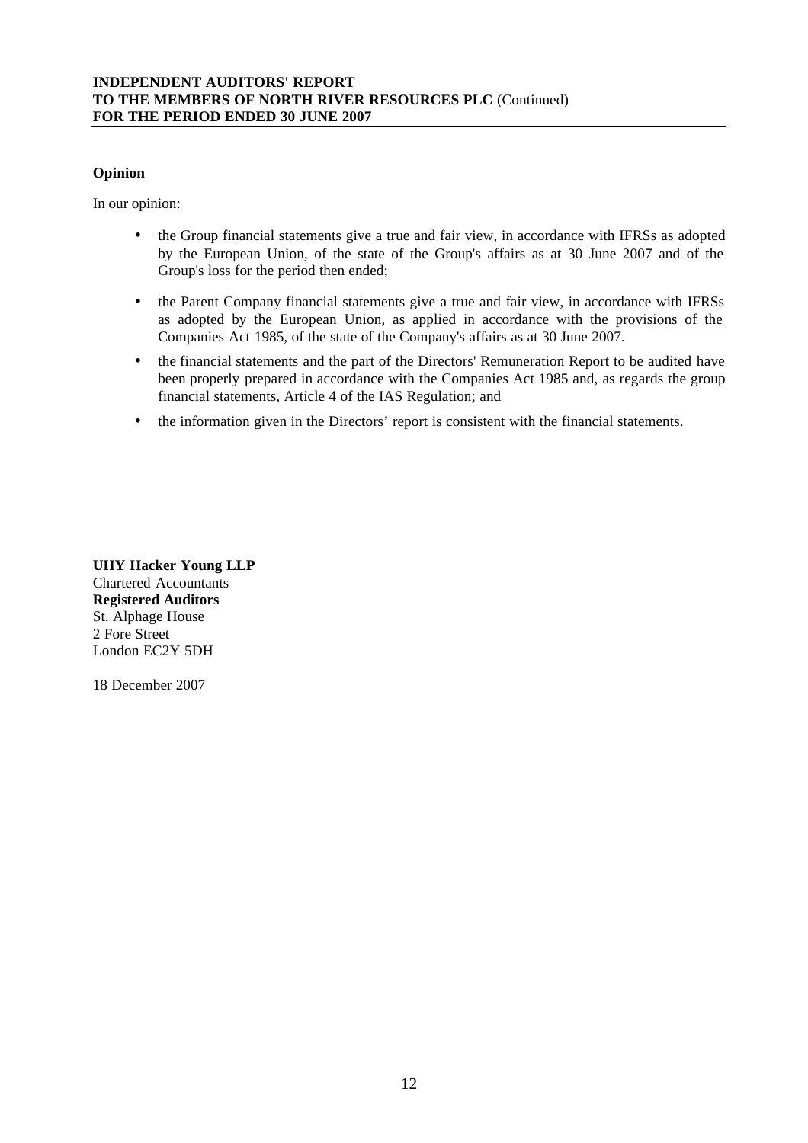## **Opinion**

In our opinion:

- the Group financial statements give a true and fair view, in accordance with IFRSs as adopted by the European Union, of the state of the Group's affairs as at 30 June 2007 and of the Group's loss for the period then ended;
- the Parent Company financial statements give a true and fair view, in accordance with IFRSs as adopted by the European Union, as applied in accordance with the provisions of the Companies Act 1985, of the state of the Company's affairs as at 30 June 2007.
- the financial statements and the part of the Directors' Remuneration Report to be audited have been properly prepared in accordance with the Companies Act 1985 and, as regards the group financial statements, Article 4 of the IAS Regulation; and
- the information given in the Directors' report is consistent with the financial statements.

**UHY Hacker Young LLP** Chartered Accountants **Registered Auditors** St. Alphage House 2 Fore Street London EC2Y 5DH

18 December 2007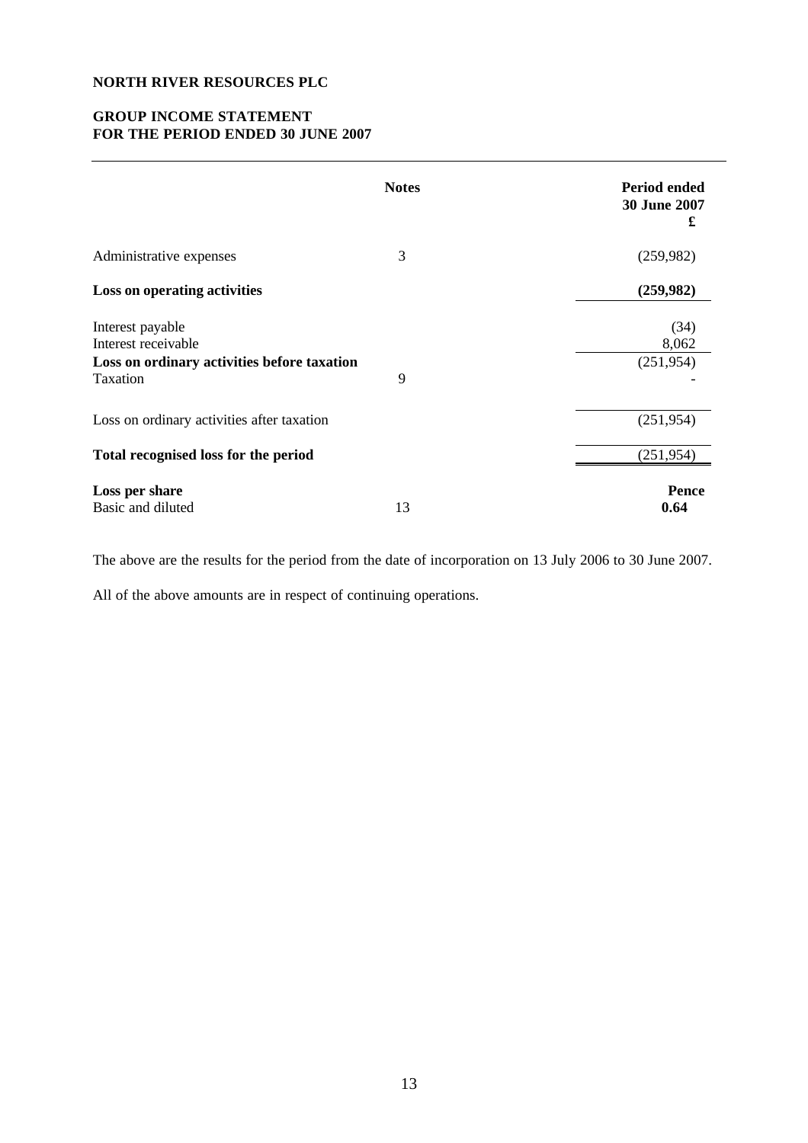#### **GROUP INCOME STATEMENT FOR THE PERIOD ENDED 30 JUNE 2007**

|                                                                                                    | <b>Notes</b> | <b>Period ended</b><br>30 June 2007<br>£ |
|----------------------------------------------------------------------------------------------------|--------------|------------------------------------------|
| Administrative expenses                                                                            | 3            | (259,982)                                |
| Loss on operating activities                                                                       |              | (259,982)                                |
| Interest payable<br>Interest receivable<br>Loss on ordinary activities before taxation<br>Taxation | 9            | (34)<br>8,062<br>(251, 954)              |
| Loss on ordinary activities after taxation                                                         |              | (251, 954)                               |
| Total recognised loss for the period                                                               |              | (251, 954)                               |
| Loss per share<br>Basic and diluted                                                                | 13           | Pence<br>0.64                            |

The above are the results for the period from the date of incorporation on 13 July 2006 to 30 June 2007.

All of the above amounts are in respect of continuing operations.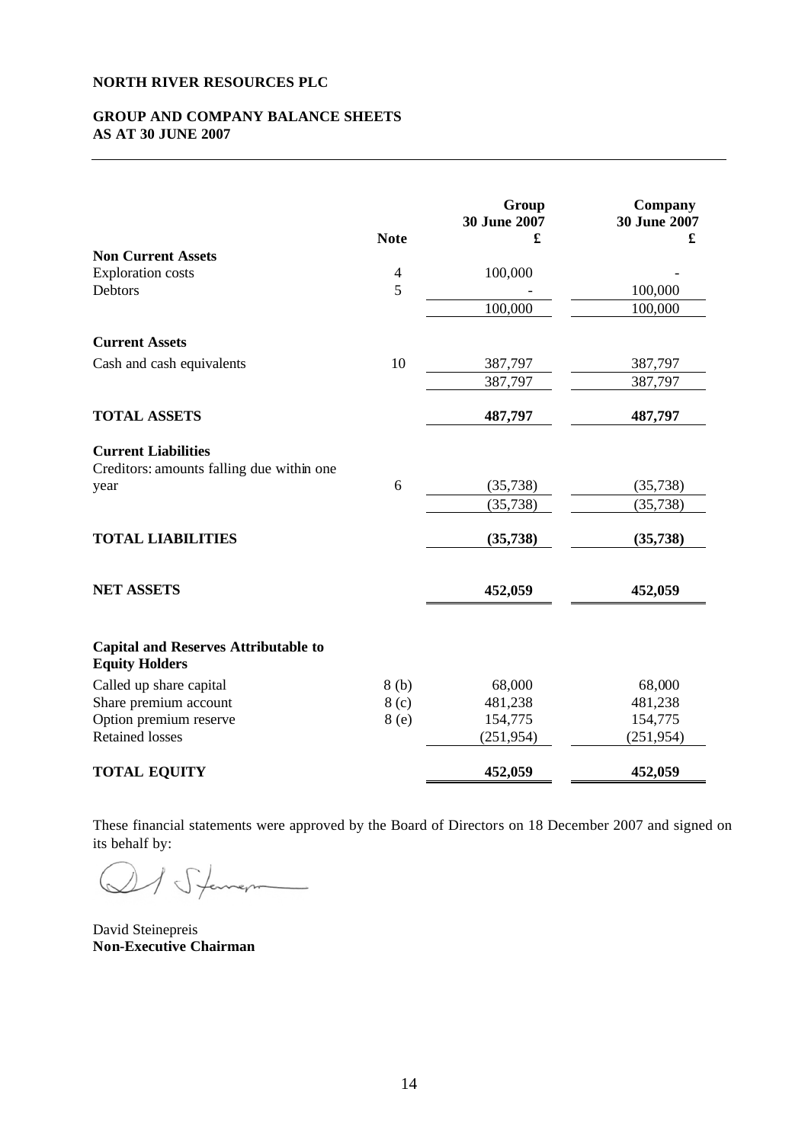#### **GROUP AND COMPANY BALANCE SHEETS AS AT 30 JUNE 2007**

|                                                                         | <b>Note</b>      | Group<br>30 June 2007<br>£ | Company<br>30 June 2007<br>£ |
|-------------------------------------------------------------------------|------------------|----------------------------|------------------------------|
| <b>Non Current Assets</b>                                               |                  |                            |                              |
| <b>Exploration costs</b>                                                | 4                | 100,000                    |                              |
| Debtors                                                                 | 5                |                            | 100,000                      |
|                                                                         |                  | 100,000                    | 100,000                      |
| <b>Current Assets</b>                                                   |                  |                            |                              |
| Cash and cash equivalents                                               | 10               | 387,797                    | 387,797                      |
|                                                                         |                  | 387,797                    | 387,797                      |
| <b>TOTAL ASSETS</b>                                                     |                  | 487,797                    | 487,797                      |
| <b>Current Liabilities</b><br>Creditors: amounts falling due within one |                  |                            |                              |
| year                                                                    | 6                | (35, 738)                  | (35, 738)                    |
|                                                                         |                  | (35, 738)                  | (35, 738)                    |
| <b>TOTAL LIABILITIES</b>                                                |                  | (35, 738)                  | (35, 738)                    |
| <b>NET ASSETS</b>                                                       |                  | 452,059                    | 452,059                      |
| <b>Capital and Reserves Attributable to</b><br><b>Equity Holders</b>    |                  |                            |                              |
| Called up share capital                                                 | 8(b)             | 68,000                     | 68,000                       |
| Share premium account                                                   | 8 <sub>(c)</sub> | 481,238                    | 481,238                      |
| Option premium reserve                                                  | 8(e)             | 154,775                    | 154,775                      |
| <b>Retained losses</b>                                                  |                  | (251, 954)                 | (251, 954)                   |
| <b>TOTAL EQUITY</b>                                                     |                  | 452,059                    | 452,059                      |

These financial statements were approved by the Board of Directors on 18 December 2007 and signed on its behalf by:

1 Stamen  $\bigcirc$ 

David Steinepreis **Non-Executive Chairman**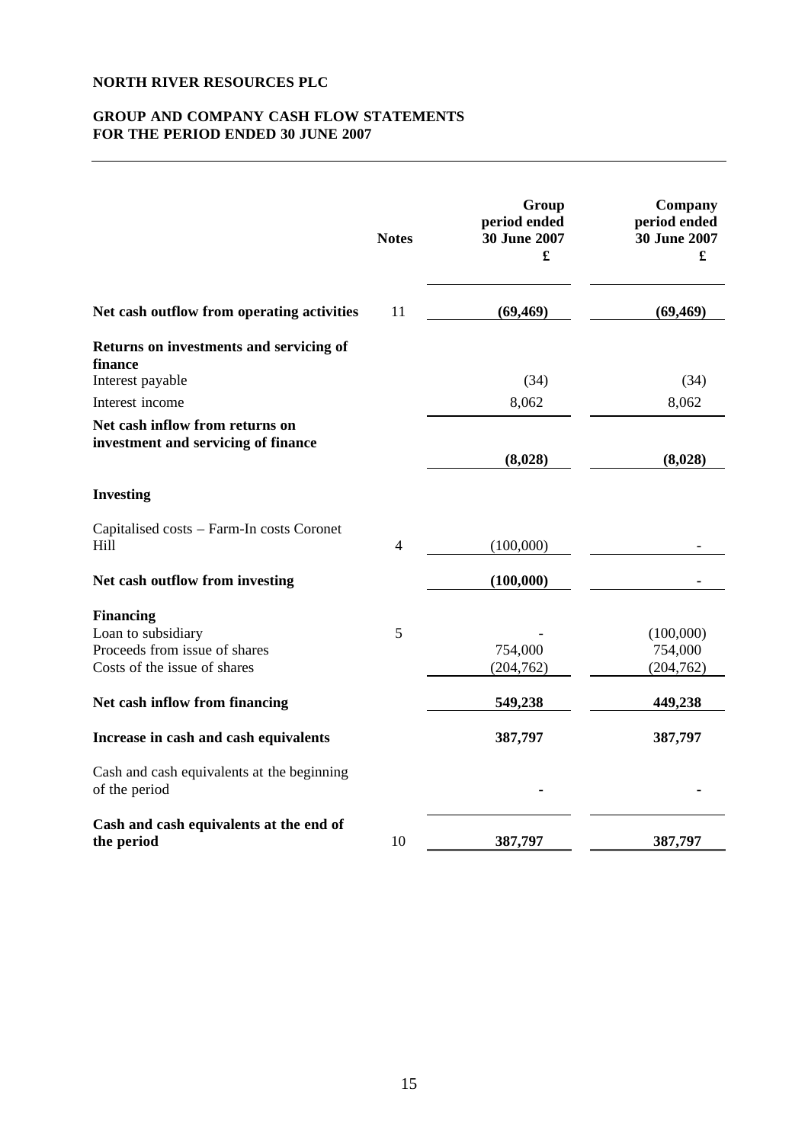## **GROUP AND COMPANY CASH FLOW STATEMENTS FOR THE PERIOD ENDED 30 JUNE 2007**

|                                                                                                         | <b>Notes</b>   | Group<br>period ended<br>30 June 2007<br>£ | Company<br>period ended<br>30 June 2007<br>£ |
|---------------------------------------------------------------------------------------------------------|----------------|--------------------------------------------|----------------------------------------------|
| Net cash outflow from operating activities                                                              | 11             | (69, 469)                                  | (69, 469)                                    |
| Returns on investments and servicing of<br>finance                                                      |                |                                            |                                              |
| Interest payable                                                                                        |                | (34)                                       | (34)                                         |
| Interest income                                                                                         |                | 8,062                                      | 8,062                                        |
| Net cash inflow from returns on<br>investment and servicing of finance                                  |                | (8,028)                                    | (8,028)                                      |
| <b>Investing</b>                                                                                        |                |                                            |                                              |
| Capitalised costs – Farm-In costs Coronet<br>Hill                                                       | $\overline{4}$ | (100,000)                                  |                                              |
| Net cash outflow from investing                                                                         |                | (100,000)                                  |                                              |
| <b>Financing</b><br>Loan to subsidiary<br>Proceeds from issue of shares<br>Costs of the issue of shares | 5              | 754,000<br>(204, 762)                      | (100,000)<br>754,000<br>(204, 762)           |
| Net cash inflow from financing                                                                          |                | 549,238                                    | 449,238                                      |
| Increase in cash and cash equivalents                                                                   |                | 387,797                                    | 387,797                                      |
| Cash and cash equivalents at the beginning<br>of the period                                             |                |                                            |                                              |
| Cash and cash equivalents at the end of<br>the period                                                   | 10             | 387,797                                    | 387,797                                      |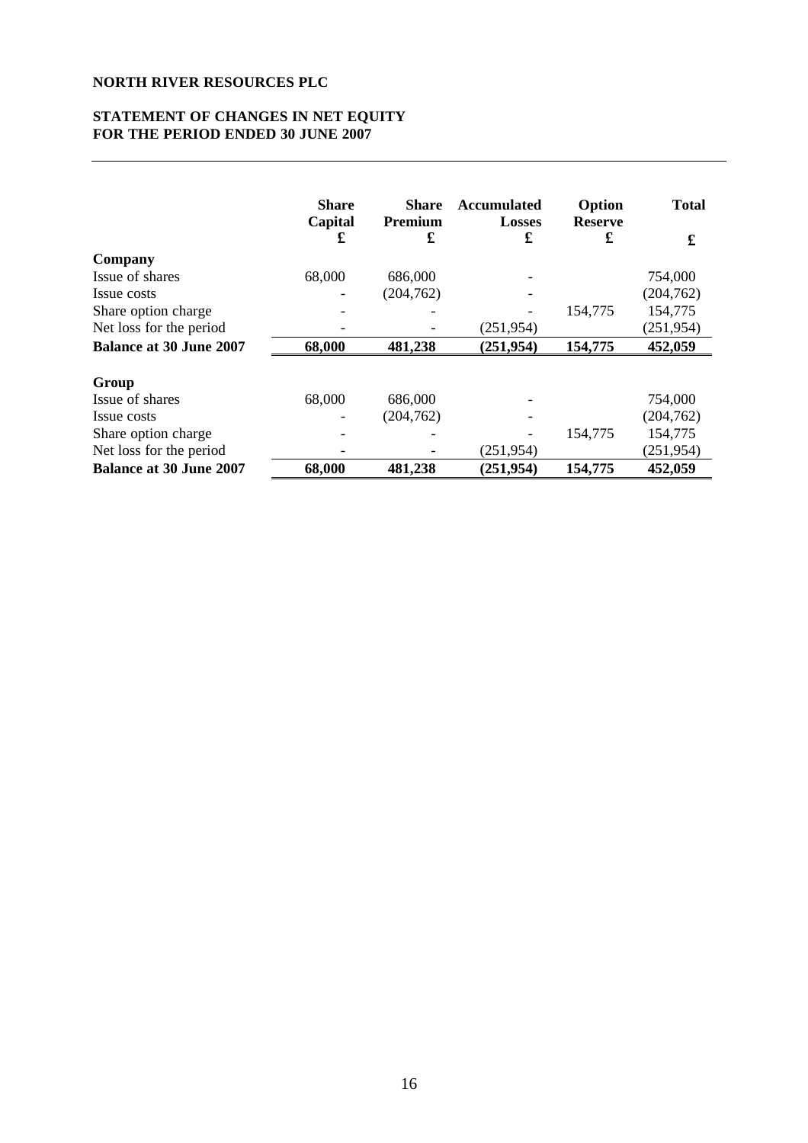#### **STATEMENT OF CHANGES IN NET EQUITY FOR THE PERIOD ENDED 30 JUNE 2007**

|                                | <b>Share</b><br>Capital | Share<br>Premium | <b>Accumulated</b><br><b>Losses</b> | Option<br><b>Reserve</b> | <b>Total</b> |
|--------------------------------|-------------------------|------------------|-------------------------------------|--------------------------|--------------|
|                                | £                       | £                | £                                   | £                        | £            |
| Company                        |                         |                  |                                     |                          |              |
| Issue of shares                | 68,000                  | 686,000          |                                     |                          | 754,000      |
| Issue costs                    |                         | (204, 762)       |                                     |                          | (204, 762)   |
| Share option charge            |                         |                  |                                     | 154,775                  | 154,775      |
| Net loss for the period        |                         |                  | (251, 954)                          |                          | (251, 954)   |
| <b>Balance at 30 June 2007</b> | 68,000                  | 481,238          | (251, 954)                          | 154,775                  | 452,059      |
| Group                          |                         |                  |                                     |                          |              |
| Issue of shares                | 68,000                  | 686,000          |                                     |                          | 754,000      |
| Issue costs                    |                         | (204, 762)       |                                     |                          | (204, 762)   |
| Share option charge            |                         |                  |                                     | 154,775                  | 154,775      |
| Net loss for the period        |                         |                  | (251, 954)                          |                          | (251, 954)   |
| <b>Balance at 30 June 2007</b> | 68,000                  | 481,238          | (251, 954)                          | 154,775                  | 452,059      |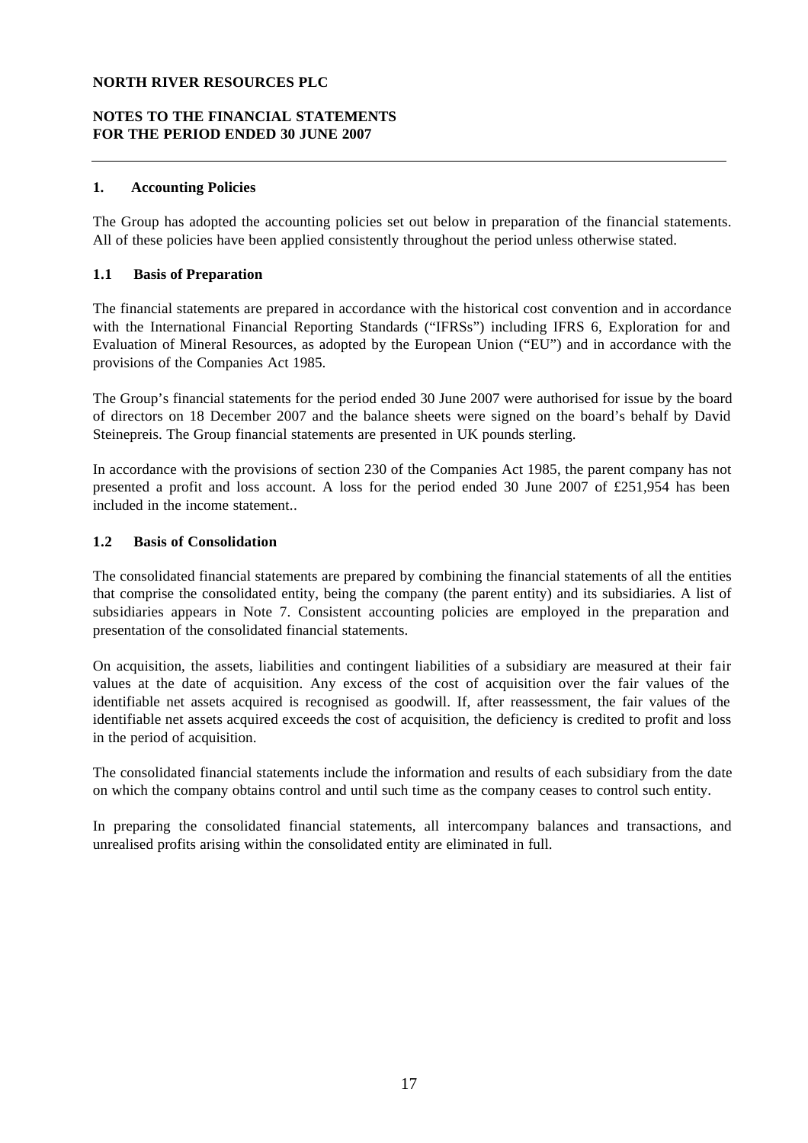#### **NOTES TO THE FINANCIAL STATEMENTS FOR THE PERIOD ENDED 30 JUNE 2007**

#### **1. Accounting Policies**

The Group has adopted the accounting policies set out below in preparation of the financial statements. All of these policies have been applied consistently throughout the period unless otherwise stated.

#### **1.1 Basis of Preparation**

The financial statements are prepared in accordance with the historical cost convention and in accordance with the International Financial Reporting Standards ("IFRSs") including IFRS 6, Exploration for and Evaluation of Mineral Resources, as adopted by the European Union ("EU") and in accordance with the provisions of the Companies Act 1985.

The Group's financial statements for the period ended 30 June 2007 were authorised for issue by the board of directors on 18 December 2007 and the balance sheets were signed on the board's behalf by David Steinepreis. The Group financial statements are presented in UK pounds sterling.

In accordance with the provisions of section 230 of the Companies Act 1985, the parent company has not presented a profit and loss account. A loss for the period ended 30 June 2007 of £251,954 has been included in the income statement..

#### **1.2 Basis of Consolidation**

The consolidated financial statements are prepared by combining the financial statements of all the entities that comprise the consolidated entity, being the company (the parent entity) and its subsidiaries. A list of subsidiaries appears in Note 7. Consistent accounting policies are employed in the preparation and presentation of the consolidated financial statements.

On acquisition, the assets, liabilities and contingent liabilities of a subsidiary are measured at their fair values at the date of acquisition. Any excess of the cost of acquisition over the fair values of the identifiable net assets acquired is recognised as goodwill. If, after reassessment, the fair values of the identifiable net assets acquired exceeds the cost of acquisition, the deficiency is credited to profit and loss in the period of acquisition.

The consolidated financial statements include the information and results of each subsidiary from the date on which the company obtains control and until such time as the company ceases to control such entity.

In preparing the consolidated financial statements, all intercompany balances and transactions, and unrealised profits arising within the consolidated entity are eliminated in full.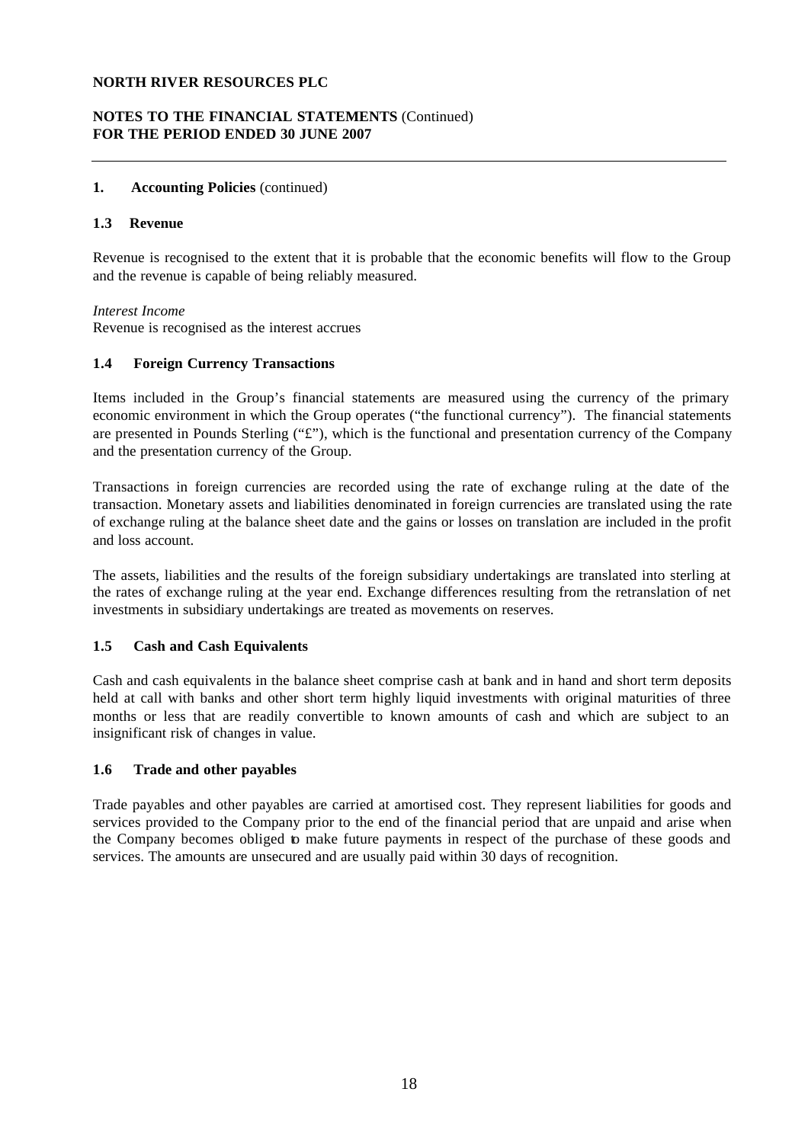## **NOTES TO THE FINANCIAL STATEMENTS** (Continued) **FOR THE PERIOD ENDED 30 JUNE 2007**

#### **1. Accounting Policies** (continued)

#### **1.3 Revenue**

Revenue is recognised to the extent that it is probable that the economic benefits will flow to the Group and the revenue is capable of being reliably measured.

*Interest Income* Revenue is recognised as the interest accrues

#### **1.4 Foreign Currency Transactions**

Items included in the Group's financial statements are measured using the currency of the primary economic environment in which the Group operates ("the functional currency"). The financial statements are presented in Pounds Sterling ("£"), which is the functional and presentation currency of the Company and the presentation currency of the Group.

Transactions in foreign currencies are recorded using the rate of exchange ruling at the date of the transaction. Monetary assets and liabilities denominated in foreign currencies are translated using the rate of exchange ruling at the balance sheet date and the gains or losses on translation are included in the profit and loss account.

The assets, liabilities and the results of the foreign subsidiary undertakings are translated into sterling at the rates of exchange ruling at the year end. Exchange differences resulting from the retranslation of net investments in subsidiary undertakings are treated as movements on reserves.

## **1.5 Cash and Cash Equivalents**

Cash and cash equivalents in the balance sheet comprise cash at bank and in hand and short term deposits held at call with banks and other short term highly liquid investments with original maturities of three months or less that are readily convertible to known amounts of cash and which are subject to an insignificant risk of changes in value.

## **1.6 Trade and other payables**

Trade payables and other payables are carried at amortised cost. They represent liabilities for goods and services provided to the Company prior to the end of the financial period that are unpaid and arise when the Company becomes obliged to make future payments in respect of the purchase of these goods and services. The amounts are unsecured and are usually paid within 30 days of recognition.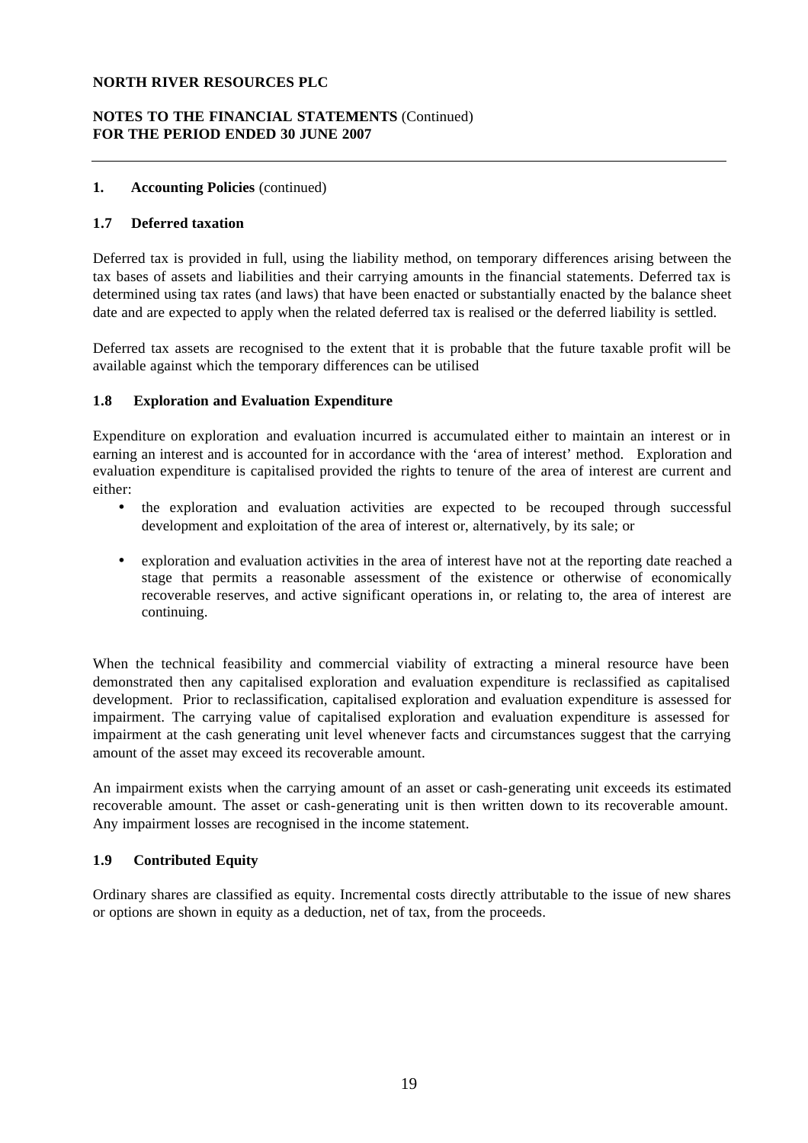## **NOTES TO THE FINANCIAL STATEMENTS** (Continued) **FOR THE PERIOD ENDED 30 JUNE 2007**

## **1. Accounting Policies** (continued)

# **1.7 Deferred taxation**

Deferred tax is provided in full, using the liability method, on temporary differences arising between the tax bases of assets and liabilities and their carrying amounts in the financial statements. Deferred tax is determined using tax rates (and laws) that have been enacted or substantially enacted by the balance sheet date and are expected to apply when the related deferred tax is realised or the deferred liability is settled.

Deferred tax assets are recognised to the extent that it is probable that the future taxable profit will be available against which the temporary differences can be utilised

## **1.8 Exploration and Evaluation Expenditure**

Expenditure on exploration and evaluation incurred is accumulated either to maintain an interest or in earning an interest and is accounted for in accordance with the 'area of interest' method. Exploration and evaluation expenditure is capitalised provided the rights to tenure of the area of interest are current and either:

- the exploration and evaluation activities are expected to be recouped through successful development and exploitation of the area of interest or, alternatively, by its sale; or
- exploration and evaluation activities in the area of interest have not at the reporting date reached a stage that permits a reasonable assessment of the existence or otherwise of economically recoverable reserves, and active significant operations in, or relating to, the area of interest are continuing.

When the technical feasibility and commercial viability of extracting a mineral resource have been demonstrated then any capitalised exploration and evaluation expenditure is reclassified as capitalised development. Prior to reclassification, capitalised exploration and evaluation expenditure is assessed for impairment. The carrying value of capitalised exploration and evaluation expenditure is assessed for impairment at the cash generating unit level whenever facts and circumstances suggest that the carrying amount of the asset may exceed its recoverable amount.

An impairment exists when the carrying amount of an asset or cash-generating unit exceeds its estimated recoverable amount. The asset or cash-generating unit is then written down to its recoverable amount. Any impairment losses are recognised in the income statement.

## **1.9 Contributed Equity**

Ordinary shares are classified as equity. Incremental costs directly attributable to the issue of new shares or options are shown in equity as a deduction, net of tax, from the proceeds.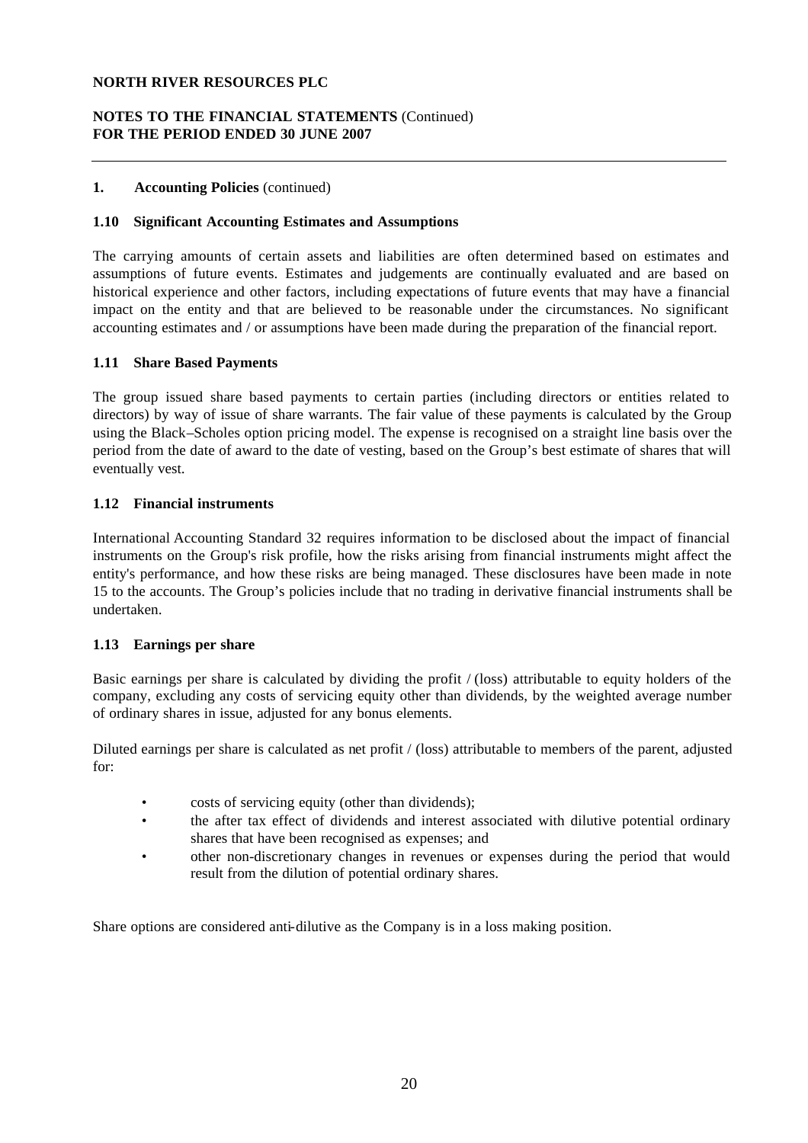## **NOTES TO THE FINANCIAL STATEMENTS** (Continued) **FOR THE PERIOD ENDED 30 JUNE 2007**

#### **1. Accounting Policies** (continued)

## **1.10 Significant Accounting Estimates and Assumptions**

The carrying amounts of certain assets and liabilities are often determined based on estimates and assumptions of future events. Estimates and judgements are continually evaluated and are based on historical experience and other factors, including expectations of future events that may have a financial impact on the entity and that are believed to be reasonable under the circumstances. No significant accounting estimates and / or assumptions have been made during the preparation of the financial report.

## **1.11 Share Based Payments**

The group issued share based payments to certain parties (including directors or entities related to directors) by way of issue of share warrants. The fair value of these payments is calculated by the Group using the Black–Scholes option pricing model. The expense is recognised on a straight line basis over the period from the date of award to the date of vesting, based on the Group's best estimate of shares that will eventually vest.

## **1.12 Financial instruments**

International Accounting Standard 32 requires information to be disclosed about the impact of financial instruments on the Group's risk profile, how the risks arising from financial instruments might affect the entity's performance, and how these risks are being managed. These disclosures have been made in note 15 to the accounts. The Group's policies include that no trading in derivative financial instruments shall be undertaken.

## **1.13 Earnings per share**

Basic earnings per share is calculated by dividing the profit / (loss) attributable to equity holders of the company, excluding any costs of servicing equity other than dividends, by the weighted average number of ordinary shares in issue, adjusted for any bonus elements.

Diluted earnings per share is calculated as net profit / (loss) attributable to members of the parent, adjusted for:

- costs of servicing equity (other than dividends);
- the after tax effect of dividends and interest associated with dilutive potential ordinary shares that have been recognised as expenses; and
- other non-discretionary changes in revenues or expenses during the period that would result from the dilution of potential ordinary shares.

Share options are considered anti-dilutive as the Company is in a loss making position.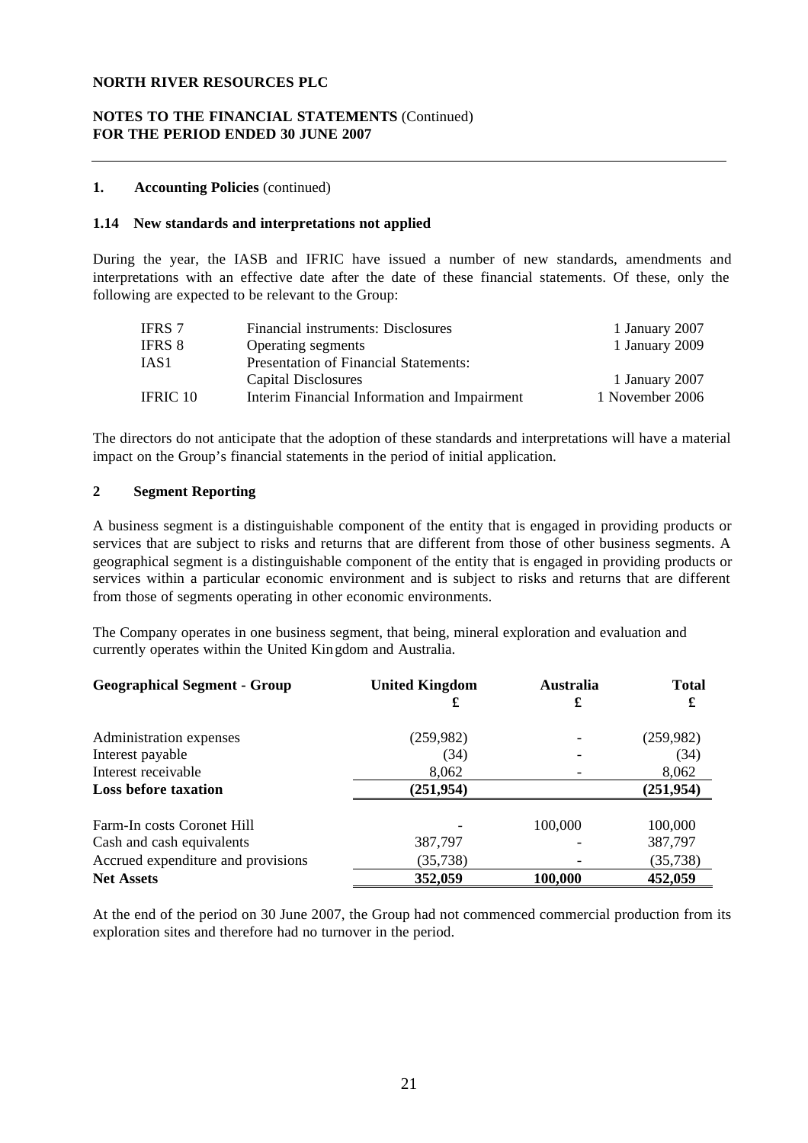#### **NOTES TO THE FINANCIAL STATEMENTS** (Continued) **FOR THE PERIOD ENDED 30 JUNE 2007**

#### **1. Accounting Policies** (continued)

#### **1.14 New standards and interpretations not applied**

During the year, the IASB and IFRIC have issued a number of new standards, amendments and interpretations with an effective date after the date of these financial statements. Of these, only the following are expected to be relevant to the Group:

| IFRS 7           | Financial instruments: Disclosures           | 1 January 2007  |
|------------------|----------------------------------------------|-----------------|
| IFRS 8           | <b>Operating segments</b>                    | 1 January 2009  |
| IAS <sub>1</sub> | <b>Presentation of Financial Statements:</b> |                 |
|                  | Capital Disclosures                          | 1 January 2007  |
| IFRIC 10         | Interim Financial Information and Impairment | 1 November 2006 |

The directors do not anticipate that the adoption of these standards and interpretations will have a material impact on the Group's financial statements in the period of initial application.

#### **2 Segment Reporting**

A business segment is a distinguishable component of the entity that is engaged in providing products or services that are subject to risks and returns that are different from those of other business segments. A geographical segment is a distinguishable component of the entity that is engaged in providing products or services within a particular economic environment and is subject to risks and returns that are different from those of segments operating in other economic environments.

The Company operates in one business segment, that being, mineral exploration and evaluation and currently operates within the United Kingdom and Australia.

| <b>Geographical Segment - Group</b> | <b>United Kingdom</b> | <b>Australia</b> | <b>Total</b> |
|-------------------------------------|-----------------------|------------------|--------------|
|                                     | £                     | £                | £            |
| Administration expenses             | (259,982)             |                  | (259, 982)   |
| Interest payable                    | (34)                  |                  | (34)         |
| Interest receivable                 | 8,062                 |                  | 8,062        |
| <b>Loss before taxation</b>         | (251, 954)            |                  | (251, 954)   |
| Farm-In costs Coronet Hill          |                       | 100,000          | 100,000      |
| Cash and cash equivalents           | 387,797               |                  | 387,797      |
| Accrued expenditure and provisions  | (35, 738)             |                  | (35, 738)    |
| <b>Net Assets</b>                   | 352,059               | 100,000          | 452,059      |

At the end of the period on 30 June 2007, the Group had not commenced commercial production from its exploration sites and therefore had no turnover in the period.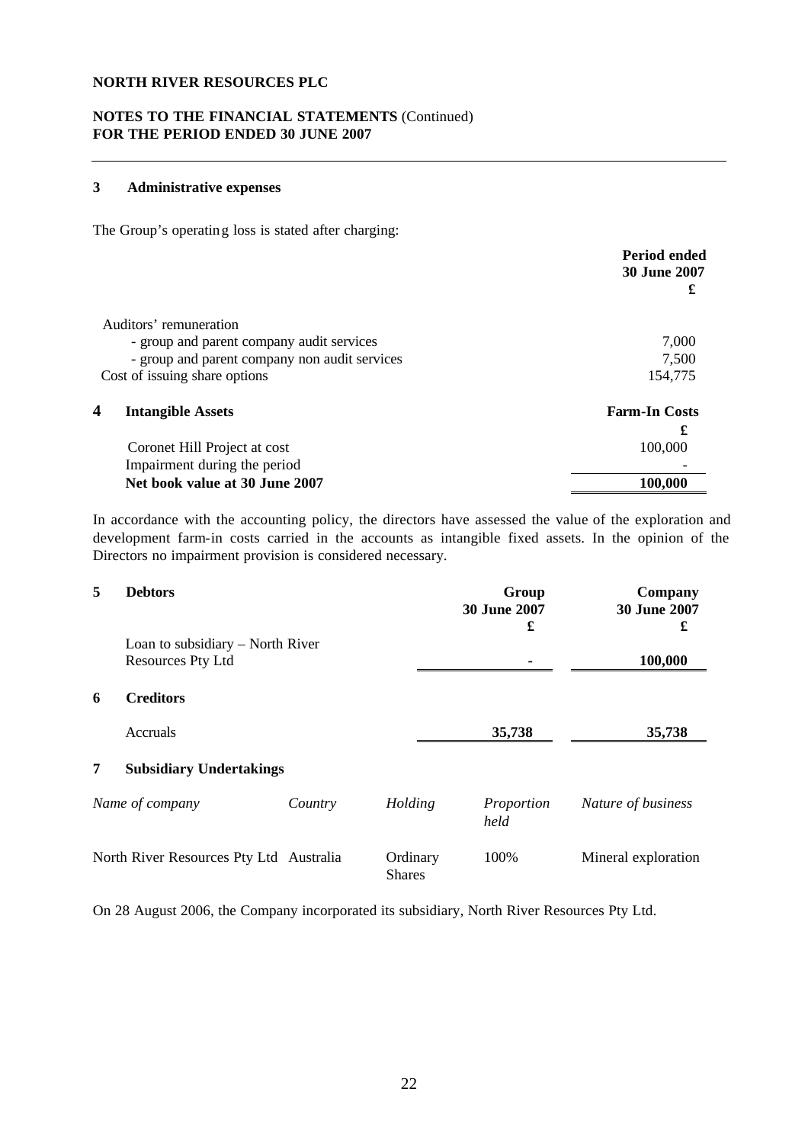### **NOTES TO THE FINANCIAL STATEMENTS** (Continued) **FOR THE PERIOD ENDED 30 JUNE 2007**

# **3 Administrative expenses**

The Group's operating loss is stated after charging:

|                                               | Period ended<br><b>30 June 2007</b><br>£ |
|-----------------------------------------------|------------------------------------------|
| Auditors' remuneration                        |                                          |
| - group and parent company audit services     | 7,000                                    |
| - group and parent company non audit services | 7,500                                    |
| Cost of issuing share options                 | 154,775                                  |
| 4<br><b>Intangible Assets</b>                 | <b>Farm-In Costs</b>                     |
|                                               | £                                        |
| Coronet Hill Project at cost                  | 100,000                                  |
| Impairment during the period                  |                                          |
| Net book value at 30 June 2007                | 100,000                                  |

In accordance with the accounting policy, the directors have assessed the value of the exploration and development farm-in costs carried in the accounts as intangible fixed assets. In the opinion of the Directors no impairment provision is considered necessary.

| 5 | <b>Debtors</b>                                               |         |                           | Group<br><b>30 June 2007</b><br>£ | Company<br><b>30 June 2007</b><br>£ |
|---|--------------------------------------------------------------|---------|---------------------------|-----------------------------------|-------------------------------------|
|   | Loan to subsidiary – North River<br><b>Resources Pty Ltd</b> |         |                           |                                   | 100,000                             |
| 6 | <b>Creditors</b>                                             |         |                           |                                   |                                     |
|   | Accruals                                                     |         |                           | 35,738                            | 35,738                              |
| 7 | <b>Subsidiary Undertakings</b>                               |         |                           |                                   |                                     |
|   | Name of company                                              | Country | Holding                   | Proportion<br>held                | Nature of business                  |
|   | North River Resources Pty Ltd Australia                      |         | Ordinary<br><b>Shares</b> | 100%                              | Mineral exploration                 |

On 28 August 2006, the Company incorporated its subsidiary, North River Resources Pty Ltd.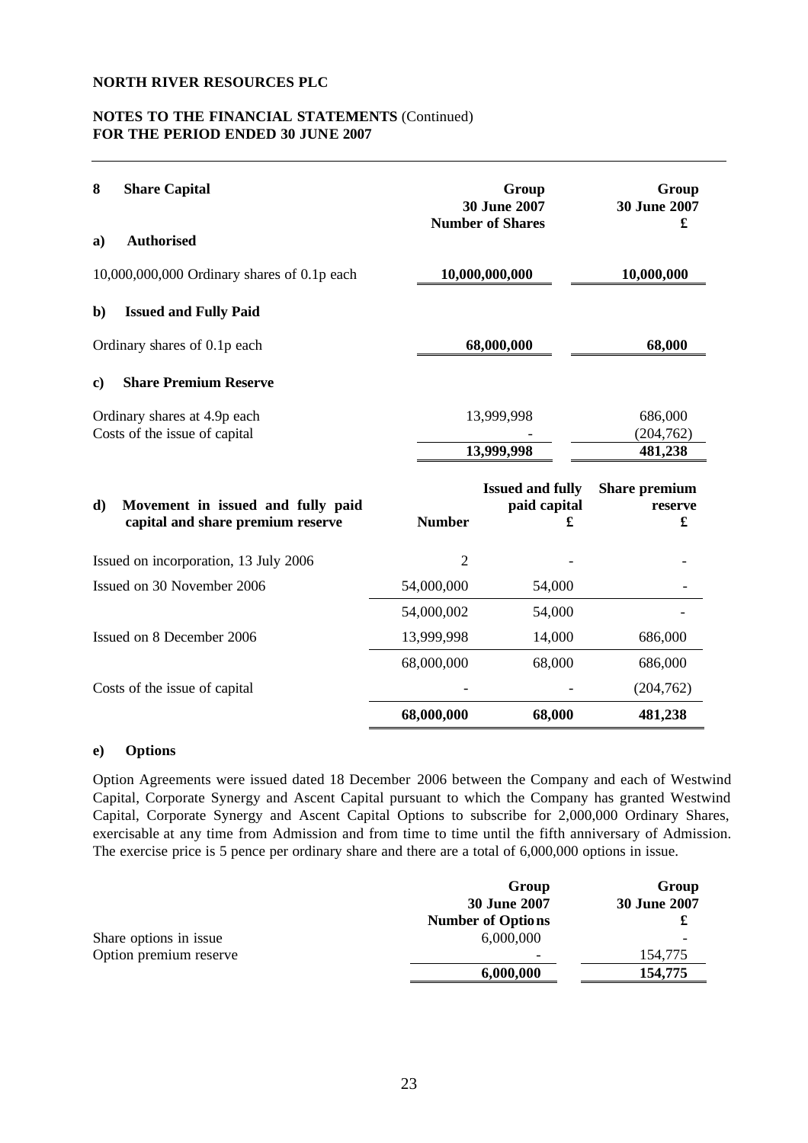#### **NOTES TO THE FINANCIAL STATEMENTS** (Continued) **FOR THE PERIOD ENDED 30 JUNE 2007**

| 8            | <b>Share Capital</b>                                                   |                | Group<br><b>30 June 2007</b>                 | Group<br>30 June 2007                |
|--------------|------------------------------------------------------------------------|----------------|----------------------------------------------|--------------------------------------|
| a)           | <b>Authorised</b>                                                      |                | <b>Number of Shares</b>                      | £                                    |
|              | 10,000,000,000 Ordinary shares of 0.1p each                            |                | 10,000,000,000                               | 10,000,000                           |
| $\mathbf{b}$ | <b>Issued and Fully Paid</b>                                           |                |                                              |                                      |
|              | Ordinary shares of 0.1p each                                           |                | 68,000,000                                   | 68,000                               |
| c)           | <b>Share Premium Reserve</b>                                           |                |                                              |                                      |
|              | Ordinary shares at 4.9p each<br>Costs of the issue of capital          |                | 13,999,998<br>13,999,998                     | 686,000<br>(204, 762)<br>481,238     |
| d)           | Movement in issued and fully paid<br>capital and share premium reserve | <b>Number</b>  | <b>Issued and fully</b><br>paid capital<br>£ | <b>Share premium</b><br>reserve<br>£ |
|              | Issued on incorporation, 13 July 2006                                  | $\overline{2}$ |                                              |                                      |
|              | Issued on 30 November 2006                                             | 54,000,000     | 54,000                                       |                                      |
|              |                                                                        | 54,000,002     | 54,000                                       |                                      |
|              | Issued on 8 December 2006                                              | 13,999,998     | 14,000                                       | 686,000                              |
|              |                                                                        | 68,000,000     | 68,000                                       | 686,000                              |
|              | Costs of the issue of capital                                          |                |                                              | (204, 762)                           |
|              |                                                                        | 68,000,000     | 68,000                                       | 481,238                              |

# **e) Options**

Option Agreements were issued dated 18 December 2006 between the Company and each of Westwind Capital, Corporate Synergy and Ascent Capital pursuant to which the Company has granted Westwind Capital, Corporate Synergy and Ascent Capital Options to subscribe for 2,000,000 Ordinary Shares, exercisable at any time from Admission and from time to time until the fifth anniversary of Admission. The exercise price is 5 pence per ordinary share and there are a total of 6,000,000 options in issue.

|                        | Group                    | Group               |
|------------------------|--------------------------|---------------------|
|                        | 30 June 2007             | <b>30 June 2007</b> |
|                        | <b>Number of Options</b> | £                   |
| Share options in issue | 6,000,000                |                     |
| Option premium reserve | $\overline{\phantom{0}}$ | 154,775             |
|                        | 6,000,000                | 154,775             |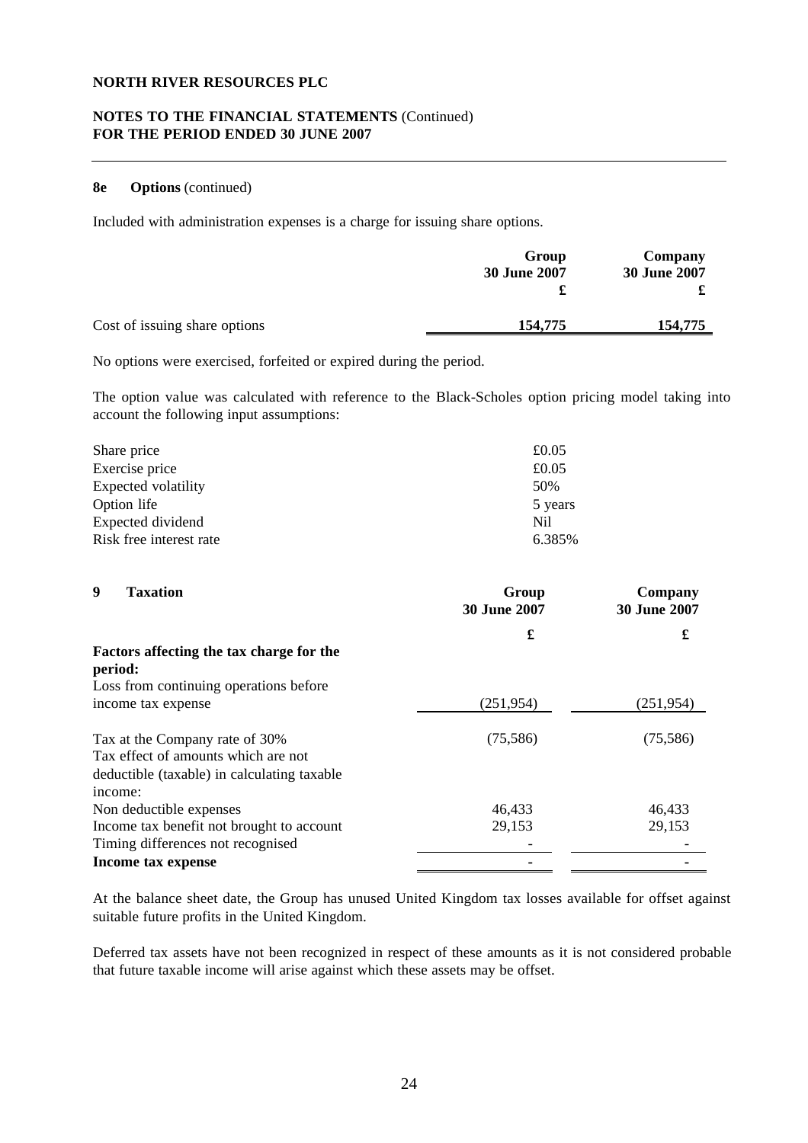#### **NOTES TO THE FINANCIAL STATEMENTS** (Continued) **FOR THE PERIOD ENDED 30 JUNE 2007**

#### **8e Options** (continued)

Included with administration expenses is a charge for issuing share options.

|                               | Group<br>30 June 2007 | Company<br>30 June 2007 |
|-------------------------------|-----------------------|-------------------------|
| Cost of issuing share options | 154,775               | 154,775                 |

No options were exercised, forfeited or expired during the period.

The option value was calculated with reference to the Black-Scholes option pricing model taking into account the following input assumptions:

| Share price             | £0.05   |
|-------------------------|---------|
| Exercise price          | £0.05   |
| Expected volatility     | 50%     |
| Option life             | 5 years |
| Expected dividend       | Nil.    |
| Risk free interest rate | 6.385%  |

| 9<br><b>Taxation</b>                                                  | Group<br><b>30 June 2007</b> | Company<br><b>30 June 2007</b> |
|-----------------------------------------------------------------------|------------------------------|--------------------------------|
|                                                                       | £                            | £                              |
| Factors affecting the tax charge for the<br>period:                   |                              |                                |
| Loss from continuing operations before                                |                              |                                |
| income tax expense                                                    | (251, 954)                   | (251, 954)                     |
| Tax at the Company rate of 30%<br>Tax effect of amounts which are not | (75, 586)                    | (75,586)                       |
| deductible (taxable) in calculating taxable                           |                              |                                |
| income:                                                               |                              |                                |
| Non deductible expenses                                               | 46,433                       | 46,433                         |
| Income tax benefit not brought to account                             | 29,153                       | 29,153                         |
| Timing differences not recognised                                     |                              |                                |
| Income tax expense                                                    |                              |                                |

At the balance sheet date, the Group has unused United Kingdom tax losses available for offset against suitable future profits in the United Kingdom.

Deferred tax assets have not been recognized in respect of these amounts as it is not considered probable that future taxable income will arise against which these assets may be offset.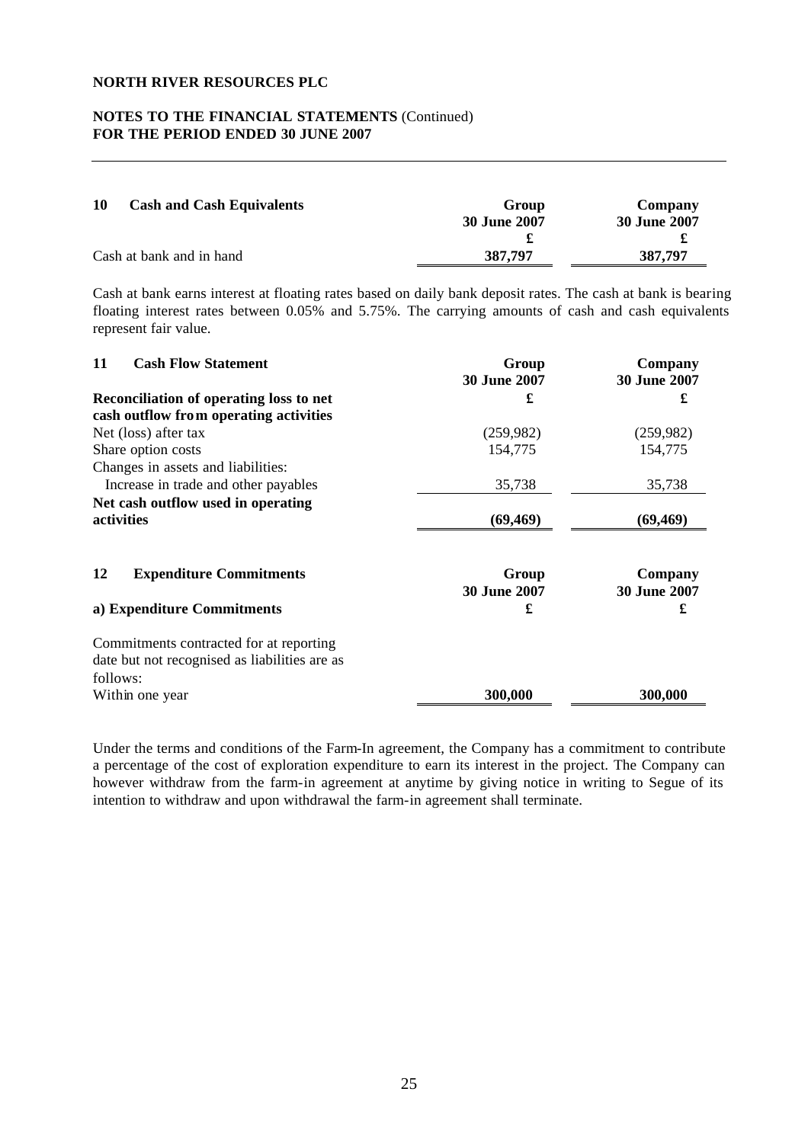#### **NOTES TO THE FINANCIAL STATEMENTS** (Continued) **FOR THE PERIOD ENDED 30 JUNE 2007**

| <b>10</b><br><b>Cash and Cash Equivalents</b> | Group<br>30 June 2007 | Company<br><b>30 June 2007</b> |
|-----------------------------------------------|-----------------------|--------------------------------|
|                                               |                       |                                |
| Cash at bank and in hand                      | 387,797               | 387,797                        |

Cash at bank earns interest at floating rates based on daily bank deposit rates. The cash at bank is bearing floating interest rates between 0.05% and 5.75%. The carrying amounts of cash and cash equivalents represent fair value.

| <b>Cash Flow Statement</b><br>11              | Group<br><b>30 June 2007</b> | Company<br><b>30 June 2007</b> |
|-----------------------------------------------|------------------------------|--------------------------------|
| Reconciliation of operating loss to net       | £                            | £                              |
| cash outflow from operating activities        |                              |                                |
| Net (loss) after tax                          | (259, 982)                   | (259, 982)                     |
| Share option costs                            | 154,775                      | 154,775                        |
| Changes in assets and liabilities:            |                              |                                |
| Increase in trade and other payables          | 35,738                       | 35,738                         |
| Net cash outflow used in operating            |                              |                                |
| activities                                    | (69, 469)                    | (69, 469)                      |
|                                               |                              |                                |
| 12<br><b>Expenditure Commitments</b>          | Group                        | Company                        |
|                                               | <b>30 June 2007</b>          | <b>30 June 2007</b>            |
| a) Expenditure Commitments                    | £                            | £                              |
| Commitments contracted for at reporting       |                              |                                |
| date but not recognised as liabilities are as |                              |                                |
| follows:                                      |                              |                                |
| Within one year                               | 300,000                      | 300,000                        |

Under the terms and conditions of the Farm-In agreement, the Company has a commitment to contribute a percentage of the cost of exploration expenditure to earn its interest in the project. The Company can however withdraw from the farm-in agreement at anytime by giving notice in writing to Segue of its intention to withdraw and upon withdrawal the farm-in agreement shall terminate.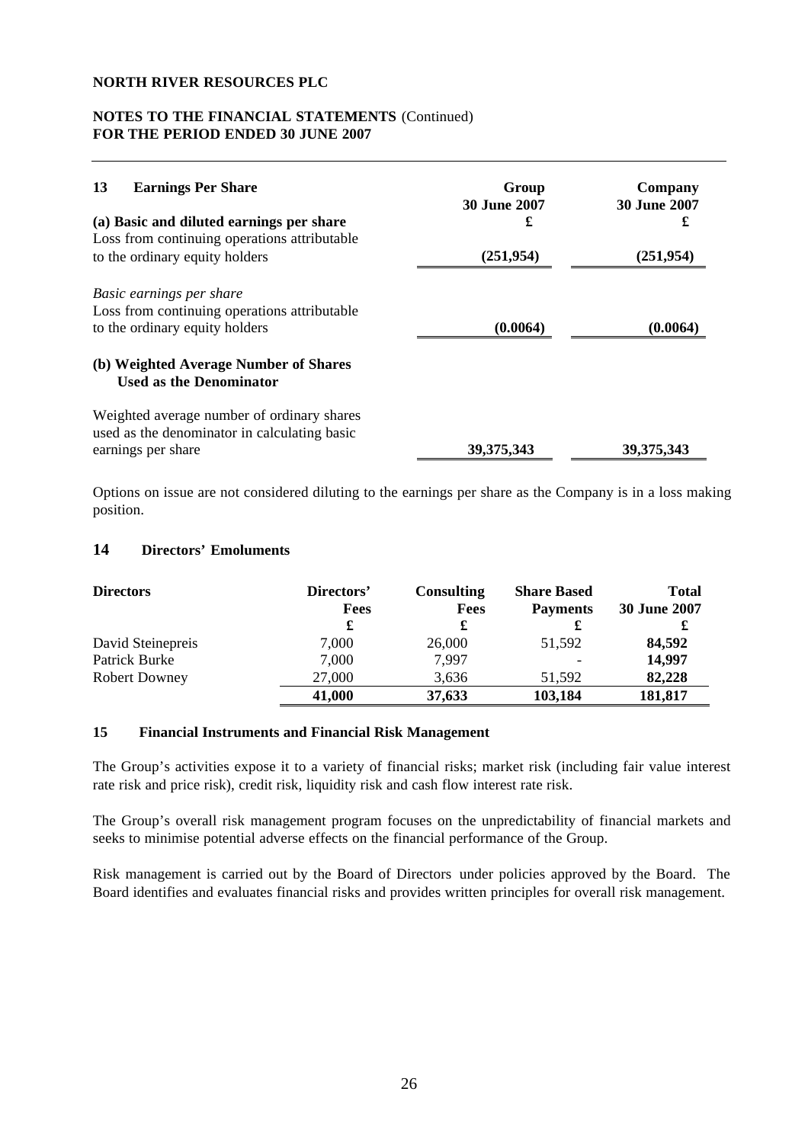#### **NOTES TO THE FINANCIAL STATEMENTS** (Continued) **FOR THE PERIOD ENDED 30 JUNE 2007**

| 13<br><b>Earnings Per Share</b><br>(a) Basic and diluted earnings per share                                      | Group<br><b>30 June 2007</b><br>£ | Company<br><b>30 June 2007</b><br>£ |
|------------------------------------------------------------------------------------------------------------------|-----------------------------------|-------------------------------------|
| Loss from continuing operations attributable<br>to the ordinary equity holders                                   | (251,954)                         | (251,954)                           |
| Basic earnings per share<br>Loss from continuing operations attributable<br>to the ordinary equity holders       | (0.0064)                          | (0.0064)                            |
| (b) Weighted Average Number of Shares<br><b>Used as the Denominator</b>                                          |                                   |                                     |
| Weighted average number of ordinary shares<br>used as the denominator in calculating basic<br>earnings per share | 39,375,343                        | 39,375,343                          |

Options on issue are not considered diluting to the earnings per share as the Company is in a loss making position.

# **14 Directors' Emoluments**

| <b>Directors</b>  | Directors'<br><b>Fees</b> | <b>Consulting</b><br><b>Fees</b> | <b>Share Based</b><br><b>Payments</b> | <b>Total</b><br><b>30 June 2007</b> |
|-------------------|---------------------------|----------------------------------|---------------------------------------|-------------------------------------|
|                   |                           |                                  |                                       | £                                   |
| David Steinepreis | 7,000                     | 26,000                           | 51,592                                | 84,592                              |
| Patrick Burke     | 7,000                     | 7,997                            |                                       | 14,997                              |
| Robert Downey     | 27,000                    | 3,636                            | 51,592                                | 82,228                              |
|                   | 41,000                    | 37,633                           | 103,184                               | 181,817                             |

## **15 Financial Instruments and Financial Risk Management**

The Group's activities expose it to a variety of financial risks; market risk (including fair value interest rate risk and price risk), credit risk, liquidity risk and cash flow interest rate risk.

The Group's overall risk management program focuses on the unpredictability of financial markets and seeks to minimise potential adverse effects on the financial performance of the Group.

Risk management is carried out by the Board of Directors under policies approved by the Board. The Board identifies and evaluates financial risks and provides written principles for overall risk management.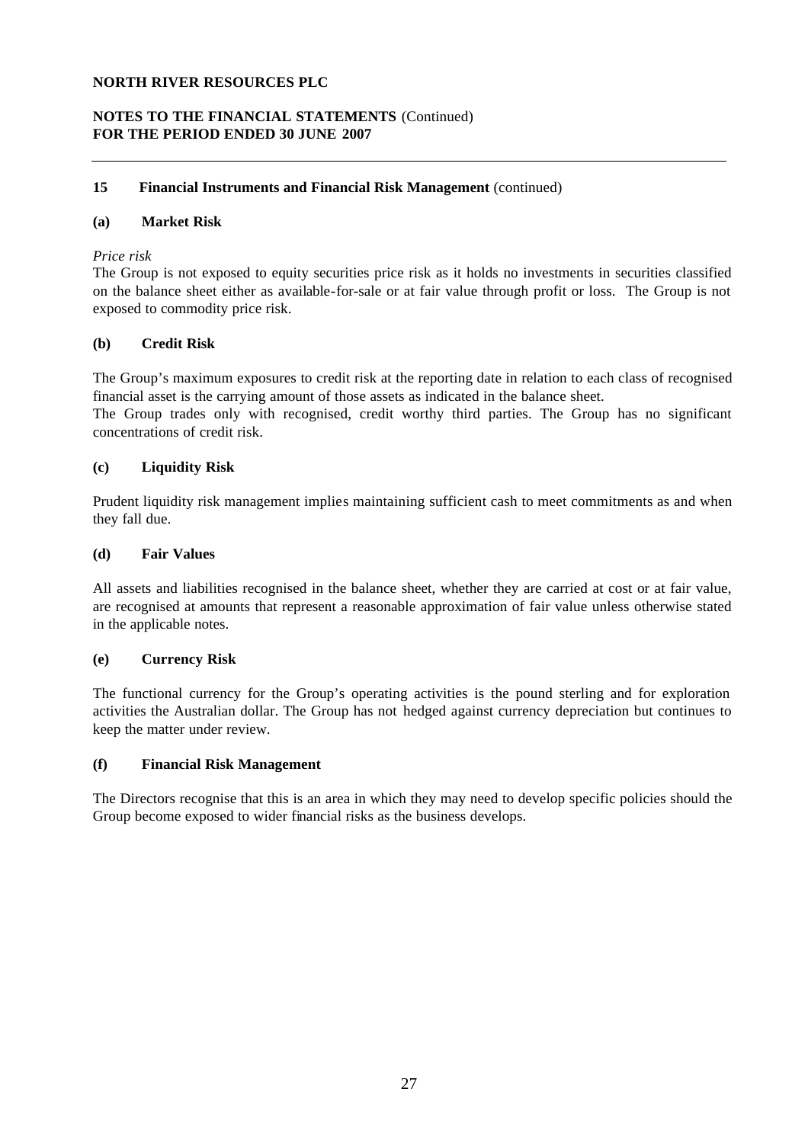## **NOTES TO THE FINANCIAL STATEMENTS** (Continued) **FOR THE PERIOD ENDED 30 JUNE 2007**

#### **15 Financial Instruments and Financial Risk Management** (continued)

#### **(a) Market Risk**

#### *Price risk*

The Group is not exposed to equity securities price risk as it holds no investments in securities classified on the balance sheet either as available-for-sale or at fair value through profit or loss. The Group is not exposed to commodity price risk.

### **(b) Credit Risk**

The Group's maximum exposures to credit risk at the reporting date in relation to each class of recognised financial asset is the carrying amount of those assets as indicated in the balance sheet.

The Group trades only with recognised, credit worthy third parties. The Group has no significant concentrations of credit risk.

#### **(c) Liquidity Risk**

Prudent liquidity risk management implies maintaining sufficient cash to meet commitments as and when they fall due.

#### **(d) Fair Values**

All assets and liabilities recognised in the balance sheet, whether they are carried at cost or at fair value, are recognised at amounts that represent a reasonable approximation of fair value unless otherwise stated in the applicable notes.

#### **(e) Currency Risk**

The functional currency for the Group's operating activities is the pound sterling and for exploration activities the Australian dollar. The Group has not hedged against currency depreciation but continues to keep the matter under review.

#### **(f) Financial Risk Management**

The Directors recognise that this is an area in which they may need to develop specific policies should the Group become exposed to wider financial risks as the business develops.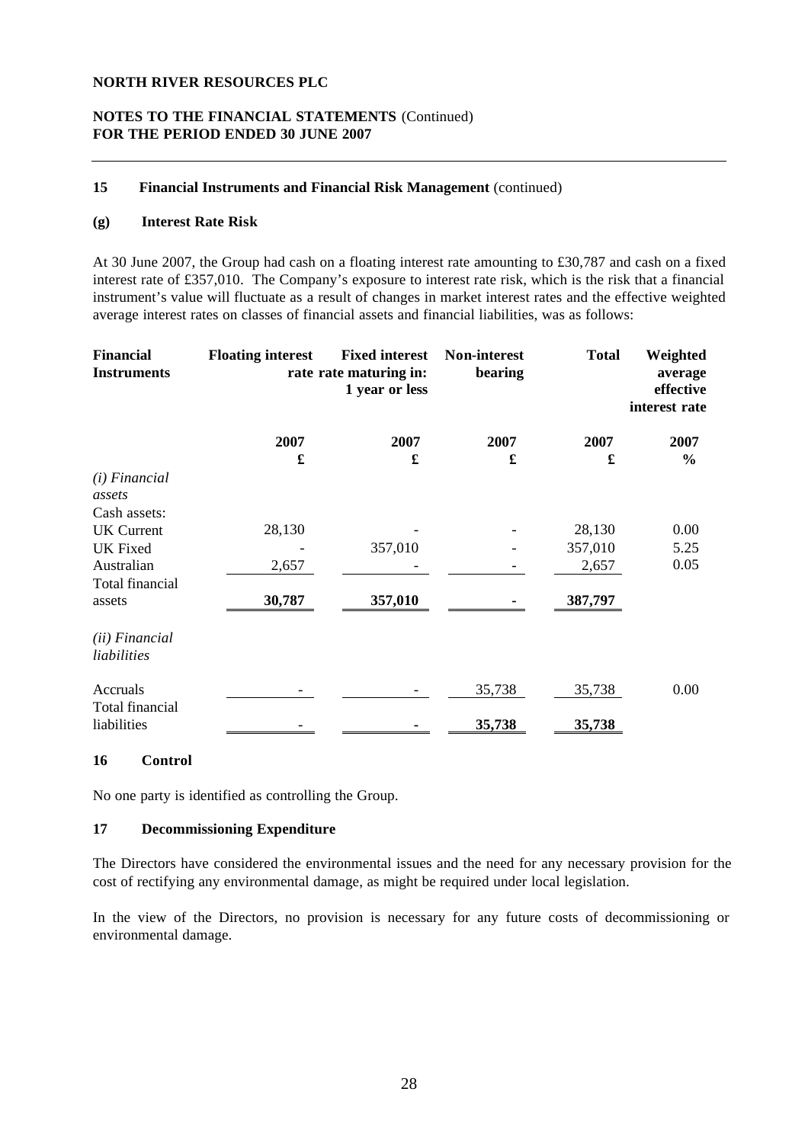#### **NOTES TO THE FINANCIAL STATEMENTS** (Continued) **FOR THE PERIOD ENDED 30 JUNE 2007**

#### **15 Financial Instruments and Financial Risk Management** (continued)

#### **(g) Interest Rate Risk**

At 30 June 2007, the Group had cash on a floating interest rate amounting to £30,787 and cash on a fixed interest rate of £357,010. The Company's exposure to interest rate risk, which is the risk that a financial instrument's value will fluctuate as a result of changes in market interest rates and the effective weighted average interest rates on classes of financial assets and financial liabilities, was as follows:

| <b>Financial</b><br><b>Instruments</b>    | <b>Floating interest</b> | <b>Fixed interest</b><br>rate rate maturing in:<br>1 year or less | Non-interest<br>bearing | <b>Total</b> | Weighted<br>average<br>effective<br>interest rate |
|-------------------------------------------|--------------------------|-------------------------------------------------------------------|-------------------------|--------------|---------------------------------------------------|
|                                           | 2007                     | 2007                                                              | 2007                    | 2007         | 2007                                              |
|                                           | £                        | £                                                                 | £                       | £            | $\%$                                              |
| $(i)$ Financial<br>assets<br>Cash assets: |                          |                                                                   |                         |              |                                                   |
| <b>UK</b> Current                         | 28,130                   |                                                                   |                         | 28,130       | 0.00                                              |
| <b>UK Fixed</b>                           |                          | 357,010                                                           |                         | 357,010      | 5.25                                              |
| Australian                                | 2,657                    |                                                                   |                         | 2,657        | 0.05                                              |
| Total financial<br>assets                 | 30,787                   | 357,010                                                           |                         | 387,797      |                                                   |
| (ii) Financial<br>liabilities             |                          |                                                                   |                         |              |                                                   |
| Accruals<br>Total financial               |                          |                                                                   | 35,738                  | 35,738       | 0.00                                              |
| liabilities                               |                          |                                                                   | 35,738                  | 35,738       |                                                   |

## **16 Control**

No one party is identified as controlling the Group.

# **17 Decommissioning Expenditure**

The Directors have considered the environmental issues and the need for any necessary provision for the cost of rectifying any environmental damage, as might be required under local legislation.

In the view of the Directors, no provision is necessary for any future costs of decommissioning or environmental damage.